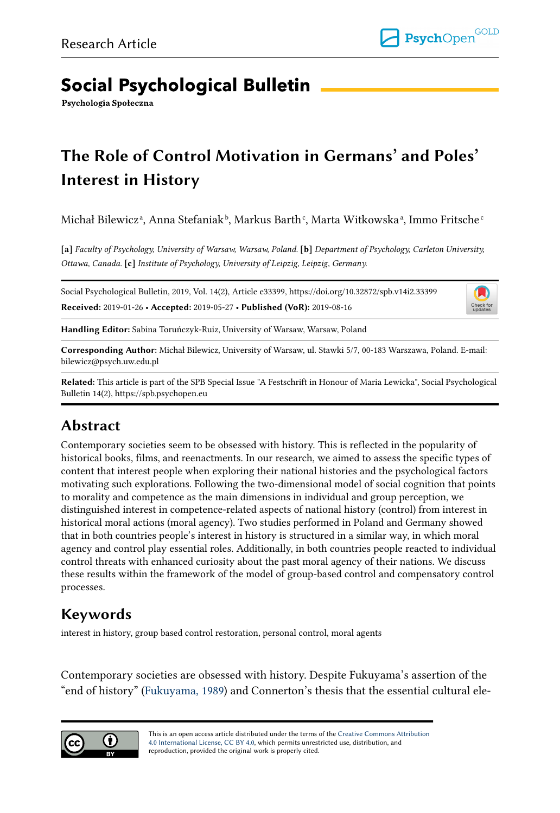# **Social Psychological Bulletin**

Psychologia Społeczna

# The Role of Control Motivation in Germans' and Poles' Interest in History

Michał Bilewiczª, Anna Stefaniak♭, Markus Barth¢, Marta Witkowskaª, Immo Fritsche°

[a] Faculty of Psychology, University of Warsaw, Warsaw, Poland. [b] Department of Psychology, Carleton University, Ottawa, Canada. [c] Institute of Psychology, University of Leipzig, Leipzig, Germany.

Social Psychological Bulletin, 2019, Vol. 14(2), Article e33399, https://doi.org/10.32872/spb.v14i2.33399 Received: 2019-01-26 • Accepted: 2019-05-27 • Published (VoR): 2019-08-16



Handling Editor: Sabina Toruńczyk-Ruiz, University of Warsaw, Warsaw, Poland

Corresponding Author: Michał Bilewicz, University of Warsaw, ul. Stawki 5/7, 00-183 Warszawa, Poland. E-mail: bilewicz@psych.uw.edu.pl

Related: This article is part of the SPB Special Issue "A Festschrift in Honour of Maria Lewicka", Social Psychological Bulletin 14(2), https://spb.psychopen.eu

# Abstract

Contemporary societies seem to be obsessed with history. This is reflected in the popularity of historical books, films, and reenactments. In our research, we aimed to assess the specific types of content that interest people when exploring their national histories and the psychological factors motivating such explorations. Following the two-dimensional model of social cognition that points to morality and competence as the main dimensions in individual and group perception, we distinguished interest in competence-related aspects of national history (control) from interest in historical moral actions (moral agency). Two studies performed in Poland and Germany showed that in both countries people's interest in history is structured in a similar way, in which moral agency and control play essential roles. Additionally, in both countries people reacted to individual control threats with enhanced curiosity about the past moral agency of their nations. We discuss these results within the framework of the model of group-based control and compensatory control processes.

# Keywords

interest in history, group based control restoration, personal control, moral agents

Contemporary societies are obsessed with history. Despite Fukuyama's assertion of the "end of history" [\(Fukuyama, 1989](#page-18-0)) and Connerton's thesis that the essential cultural ele‐

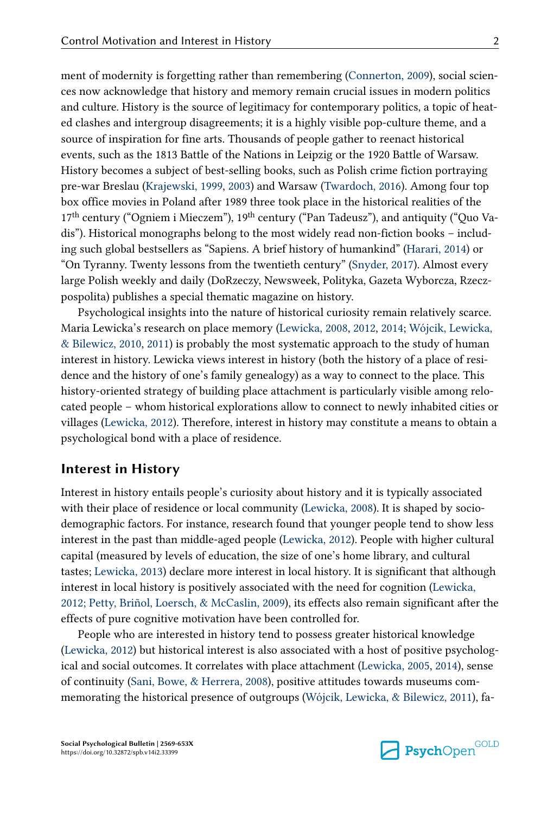ment of modernity is forgetting rather than remembering [\(Connerton, 2009\)](#page-17-0), social sciences now acknowledge that history and memory remain crucial issues in modern politics and culture. History is the source of legitimacy for contemporary politics, a topic of heated clashes and intergroup disagreements; it is a highly visible pop-culture theme, and a source of inspiration for fine arts. Thousands of people gather to reenact historical events, such as the 1813 Battle of the Nations in Leipzig or the 1920 Battle of Warsaw. History becomes a subject of best-selling books, such as Polish crime fiction portraying pre-war Breslau ([Krajewski, 1999](#page-19-0), [2003](#page-19-0)) and Warsaw ([Twardoch, 2016](#page-20-0)). Among four top box office movies in Poland after 1989 three took place in the historical realities of the 17<sup>th</sup> century ("Ogniem i Mieczem"), 19<sup>th</sup> century ("Pan Tadeusz"), and antiquity ("Quo Vadis"). Historical monographs belong to the most widely read non-fiction books – includ‐ ing such global bestsellers as "Sapiens. A brief history of humankind" [\(Harari, 2014\)](#page-18-0) or "On Tyranny. Twenty lessons from the twentieth century" [\(Snyder, 2017\)](#page-20-0). Almost every large Polish weekly and daily (DoRzeczy, Newsweek, Polityka, Gazeta Wyborcza, Rzecz‐ pospolita) publishes a special thematic magazine on history.

Psychological insights into the nature of historical curiosity remain relatively scarce. Maria Lewicka's research on place memory ([Lewicka, 2008, 2012,](#page-19-0) [2014](#page-19-0); [Wójcik, Lewicka,](#page-21-0) [& Bilewicz, 2010](#page-21-0), [2011](#page-21-0)) is probably the most systematic approach to the study of human interest in history. Lewicka views interest in history (both the history of a place of residence and the history of one's family genealogy) as a way to connect to the place. This history-oriented strategy of building place attachment is particularly visible among relo‐ cated people – whom historical explorations allow to connect to newly inhabited cities or villages [\(Lewicka, 2012](#page-19-0)). Therefore, interest in history may constitute a means to obtain a psychological bond with a place of residence.

## Interest in History

Interest in history entails people's curiosity about history and it is typically associated with their place of residence or local community ([Lewicka, 2008\)](#page-19-0). It is shaped by sociodemographic factors. For instance, research found that younger people tend to show less interest in the past than middle-aged people [\(Lewicka, 2012](#page-19-0)). People with higher cultural capital (measured by levels of education, the size of one's home library, and cultural tastes; [Lewicka, 2013](#page-19-0)) declare more interest in local history. It is significant that although interest in local history is positively associated with the need for cognition ([Lewicka,](#page-19-0) [2012;](#page-19-0) [Petty, Briñol, Loersch, & McCaslin, 2009](#page-19-0)), its effects also remain significant after the effects of pure cognitive motivation have been controlled for.

People who are interested in history tend to possess greater historical knowledge [\(Lewicka, 2012](#page-19-0)) but historical interest is also associated with a host of positive psycholog‐ ical and social outcomes. It correlates with place attachment [\(Lewicka, 2005](#page-19-0), [2014](#page-19-0)), sense of continuity [\(Sani, Bowe, & Herrera, 2008\)](#page-19-0), positive attitudes towards museums com‐ memorating the historical presence of outgroups [\(Wójcik, Lewicka, & Bilewicz, 2011\)](#page-21-0), fa-

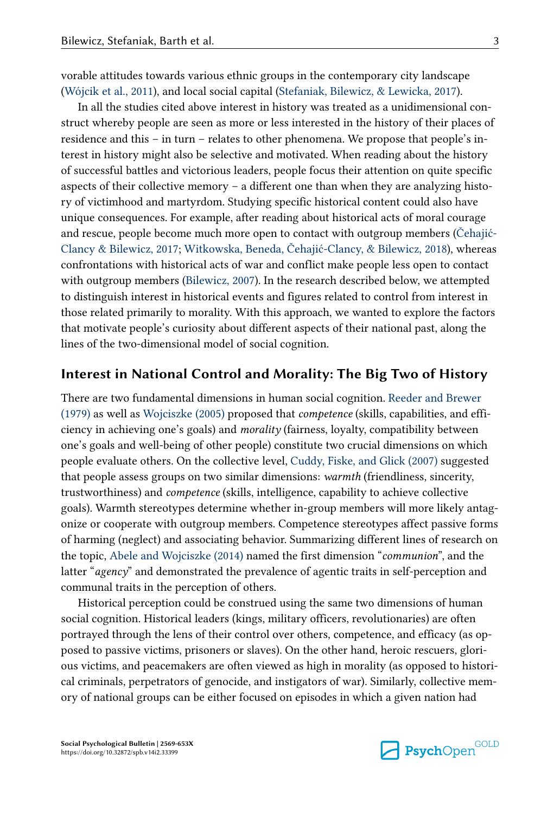vorable attitudes towards various ethnic groups in the contemporary city landscape [\(Wójcik et al., 2011](#page-21-0)), and local social capital [\(Stefaniak, Bilewicz, & Lewicka, 2017\)](#page-20-0).

In all the studies cited above interest in history was treated as a unidimensional con‐ struct whereby people are seen as more or less interested in the history of their places of residence and this – in turn – relates to other phenomena. We propose that people's in‐ terest in history might also be selective and motivated. When reading about the history of successful battles and victorious leaders, people focus their attention on quite specific aspects of their collective memory – a different one than when they are analyzing history of victimhood and martyrdom. Studying specific historical content could also have unique consequences. For example, after reading about historical acts of moral courage and rescue, people become much more open to contact with outgroup members [\(Čehajić-](#page-17-0)[Clancy & Bilewicz, 2017](#page-17-0); [Witkowska, Beneda, Čehajić-Clancy, & Bilewicz, 2018\)](#page-21-0), whereas confrontations with historical acts of war and conflict make people less open to contact with outgroup members [\(Bilewicz, 2007\)](#page-17-0). In the research described below, we attempted to distinguish interest in historical events and figures related to control from interest in those related primarily to morality. With this approach, we wanted to explore the factors that motivate people's curiosity about different aspects of their national past, along the lines of the two-dimensional model of social cognition.

## Interest in National Control and Morality: The Big Two of History

There are two fundamental dimensions in human social cognition. [Reeder and Brewer](#page-19-0)  $(1979)$  as well as Wojciszke  $(2005)$  proposed that *competence* (skills, capabilities, and efficiency in achieving one's goals) and morality (fairness, loyalty, compatibility between one's goals and well-being of other people) constitute two crucial dimensions on which people evaluate others. On the collective level, [Cuddy, Fiske, and Glick \(2007\)](#page-17-0) suggested that people assess groups on two similar dimensions: warmth (friendliness, sincerity, trustworthiness) and competence (skills, intelligence, capability to achieve collective goals). Warmth stereotypes determine whether in-group members will more likely antag‐ onize or cooperate with outgroup members. Competence stereotypes affect passive forms of harming (neglect) and associating behavior. Summarizing different lines of research on the topic, [Abele and Wojciszke \(2014\)](#page-17-0) named the first dimension "communion", and the latter " $a$ gency" and demonstrated the prevalence of agentic traits in self-perception and communal traits in the perception of others.

Historical perception could be construed using the same two dimensions of human social cognition. Historical leaders (kings, military officers, revolutionaries) are often portrayed through the lens of their control over others, competence, and efficacy (as op‐ posed to passive victims, prisoners or slaves). On the other hand, heroic rescuers, glori‐ ous victims, and peacemakers are often viewed as high in morality (as opposed to histori‐ cal criminals, perpetrators of genocide, and instigators of war). Similarly, collective memory of national groups can be either focused on episodes in which a given nation had

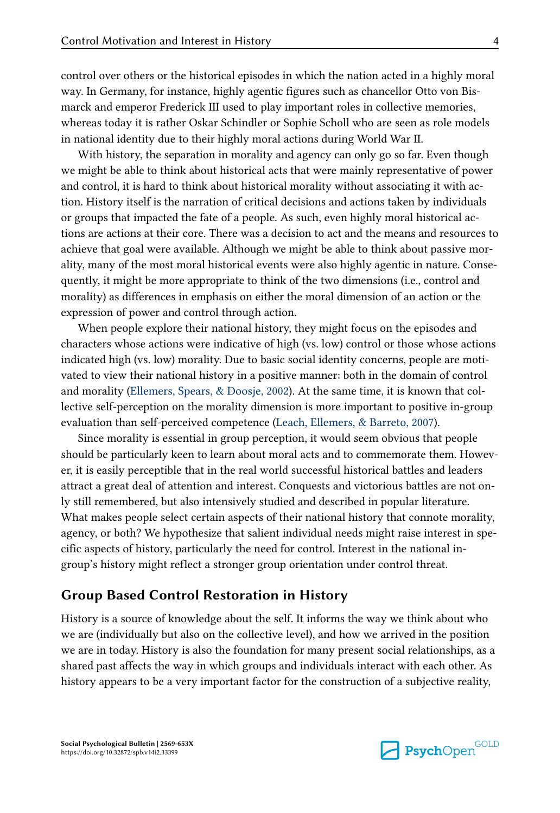control over others or the historical episodes in which the nation acted in a highly moral way. In Germany, for instance, highly agentic figures such as chancellor Otto von Bismarck and emperor Frederick III used to play important roles in collective memories, whereas today it is rather Oskar Schindler or Sophie Scholl who are seen as role models in national identity due to their highly moral actions during World War II.

With history, the separation in morality and agency can only go so far. Even though we might be able to think about historical acts that were mainly representative of power and control, it is hard to think about historical morality without associating it with ac‐ tion. History itself is the narration of critical decisions and actions taken by individuals or groups that impacted the fate of a people. As such, even highly moral historical ac‐ tions are actions at their core. There was a decision to act and the means and resources to achieve that goal were available. Although we might be able to think about passive morality, many of the most moral historical events were also highly agentic in nature. Conse‐ quently, it might be more appropriate to think of the two dimensions (i.e., control and morality) as differences in emphasis on either the moral dimension of an action or the expression of power and control through action.

When people explore their national history, they might focus on the episodes and characters whose actions were indicative of high (vs. low) control or those whose actions indicated high (vs. low) morality. Due to basic social identity concerns, people are motivated to view their national history in a positive manner: both in the domain of control and morality ([Ellemers, Spears, & Doosje, 2002](#page-18-0)). At the same time, it is known that col‐ lective self-perception on the morality dimension is more important to positive in-group evaluation than self-perceived competence ([Leach, Ellemers, & Barreto, 2007\)](#page-19-0).

Since morality is essential in group perception, it would seem obvious that people should be particularly keen to learn about moral acts and to commemorate them. However, it is easily perceptible that in the real world successful historical battles and leaders attract a great deal of attention and interest. Conquests and victorious battles are not on‐ ly still remembered, but also intensively studied and described in popular literature. What makes people select certain aspects of their national history that connote morality, agency, or both? We hypothesize that salient individual needs might raise interest in specific aspects of history, particularly the need for control. Interest in the national ingroup's history might reflect a stronger group orientation under control threat.

## Group Based Control Restoration in History

History is a source of knowledge about the self. It informs the way we think about who we are (individually but also on the collective level), and how we arrived in the position we are in today. History is also the foundation for many present social relationships, as a shared past affects the way in which groups and individuals interact with each other. As history appears to be a very important factor for the construction of a subjective reality,

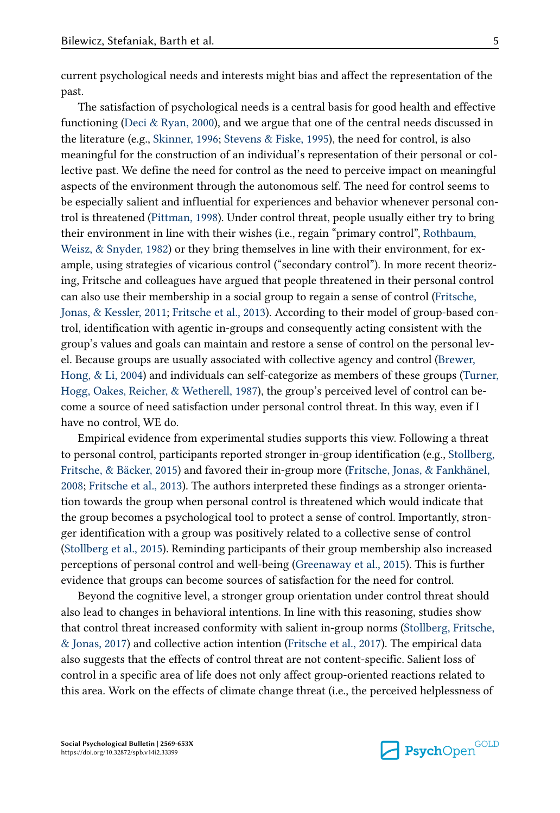current psychological needs and interests might bias and affect the representation of the past.

The satisfaction of psychological needs is a central basis for good health and effective functioning (Deci  $\&$  Ryan, 2000), and we argue that one of the central needs discussed in the literature (e.g., [Skinner, 1996; Stevens & Fiske, 1995\)](#page-20-0), the need for control, is also meaningful for the construction of an individual's representation of their personal or col‐ lective past. We define the need for control as the need to perceive impact on meaningful aspects of the environment through the autonomous self. The need for control seems to be especially salient and influential for experiences and behavior whenever personal control is threatened [\(Pittman, 1998](#page-19-0)). Under control threat, people usually either try to bring their environment in line with their wishes (i.e., regain "primary control", [Rothbaum,](#page-19-0) Weisz,  $\&$  Snyder, 1982) or they bring themselves in line with their environment, for example, using strategies of vicarious control ("secondary control"). In more recent theorizing, Fritsche and colleagues have argued that people threatened in their personal control can also use their membership in a social group to regain a sense of control ([Fritsche,](#page-18-0) [Jonas, & Kessler, 2011](#page-18-0); [Fritsche et al., 2013\)](#page-18-0). According to their model of group-based control, identification with agentic in-groups and consequently acting consistent with the group's values and goals can maintain and restore a sense of control on the personal lev‐ el. Because groups are usually associated with collective agency and control [\(Brewer,](#page-17-0) [Hong, & Li, 2004](#page-17-0)) and individuals can self-categorize as members of these groups [\(Turner,](#page-20-0) [Hogg, Oakes, Reicher, & Wetherell, 1987](#page-20-0)), the group's perceived level of control can be‐ come a source of need satisfaction under personal control threat. In this way, even if I have no control, WE do.

Empirical evidence from experimental studies supports this view. Following a threat to personal control, participants reported stronger in-group identification (e.g., [Stollberg,](#page-20-0) [Fritsche, & Bäcker, 2015](#page-20-0)) and favored their in-group more [\(Fritsche, Jonas, & Fankhänel,](#page-18-0) [2008; Fritsche et al., 2013](#page-18-0)). The authors interpreted these findings as a stronger orienta‐ tion towards the group when personal control is threatened which would indicate that the group becomes a psychological tool to protect a sense of control. Importantly, stron‐ ger identification with a group was positively related to a collective sense of control [\(Stollberg et al., 2015\)](#page-20-0). Reminding participants of their group membership also increased perceptions of personal control and well-being [\(Greenaway et al., 2015\)](#page-18-0). This is further evidence that groups can become sources of satisfaction for the need for control.

Beyond the cognitive level, a stronger group orientation under control threat should also lead to changes in behavioral intentions. In line with this reasoning, studies show that control threat increased conformity with salient in-group norms ([Stollberg, Fritsche,](#page-20-0) [& Jonas, 2017\)](#page-20-0) and collective action intention ([Fritsche et al., 2017\)](#page-18-0). The empirical data also suggests that the effects of control threat are not content-specific. Salient loss of control in a specific area of life does not only affect group-oriented reactions related to this area. Work on the effects of climate change threat (i.e., the perceived helplessness of

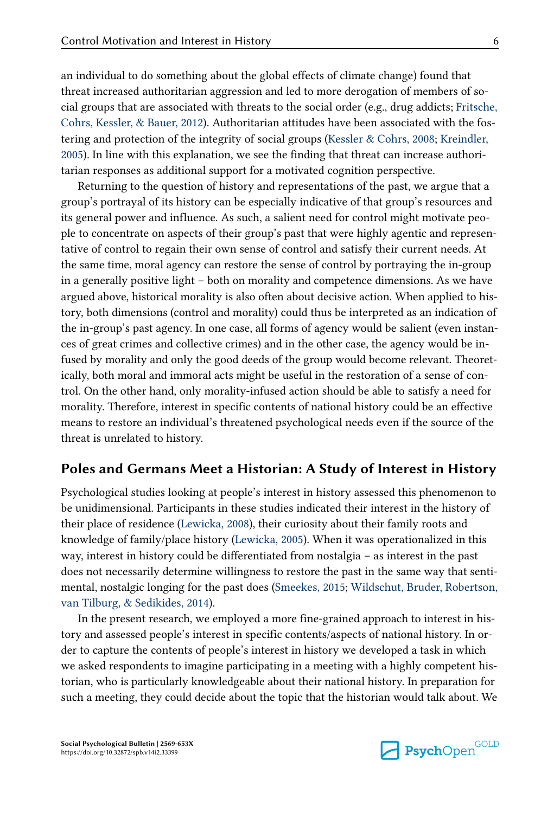an individual to do something about the global effects of climate change) found that threat increased authoritarian aggression and led to more derogation of members of so‐ cial groups that are associated with threats to the social order (e.g., drug addicts; [Fritsche,](#page-18-0) [Cohrs, Kessler, & Bauer, 2012\)](#page-18-0). Authoritarian attitudes have been associated with the fos‐ tering and protection of the integrity of social groups [\(Kessler & Cohrs, 2008](#page-18-0); [Kreindler,](#page-19-0) [2005\)](#page-19-0). In line with this explanation, we see the finding that threat can increase authoritarian responses as additional support for a motivated cognition perspective.

Returning to the question of history and representations of the past, we argue that a group's portrayal of its history can be especially indicative of that group's resources and its general power and influence. As such, a salient need for control might motivate peo‐ ple to concentrate on aspects of their group's past that were highly agentic and representative of control to regain their own sense of control and satisfy their current needs. At the same time, moral agency can restore the sense of control by portraying the in-group in a generally positive light – both on morality and competence dimensions. As we have argued above, historical morality is also often about decisive action. When applied to his‐ tory, both dimensions (control and morality) could thus be interpreted as an indication of the in-group's past agency. In one case, all forms of agency would be salient (even instan‐ ces of great crimes and collective crimes) and in the other case, the agency would be in‐ fused by morality and only the good deeds of the group would become relevant. Theoretically, both moral and immoral acts might be useful in the restoration of a sense of control. On the other hand, only morality-infused action should be able to satisfy a need for morality. Therefore, interest in specific contents of national history could be an effective means to restore an individual's threatened psychological needs even if the source of the threat is unrelated to history.

## Poles and Germans Meet a Historian: A Study of Interest in History

Psychological studies looking at people's interest in history assessed this phenomenon to be unidimensional. Participants in these studies indicated their interest in the history of their place of residence [\(Lewicka, 2008](#page-19-0)), their curiosity about their family roots and knowledge of family/place history [\(Lewicka, 2005\)](#page-19-0). When it was operationalized in this way, interest in history could be differentiated from nostalgia – as interest in the past does not necessarily determine willingness to restore the past in the same way that sentimental, nostalgic longing for the past does [\(Smeekes, 2015](#page-20-0); [Wildschut, Bruder, Robertson,](#page-20-0) [van Tilburg, & Sedikides, 2014\)](#page-20-0).

In the present research, we employed a more fine-grained approach to interest in his‐ tory and assessed people's interest in specific contents/aspects of national history. In or‐ der to capture the contents of people's interest in history we developed a task in which we asked respondents to imagine participating in a meeting with a highly competent historian, who is particularly knowledgeable about their national history. In preparation for such a meeting, they could decide about the topic that the historian would talk about. We

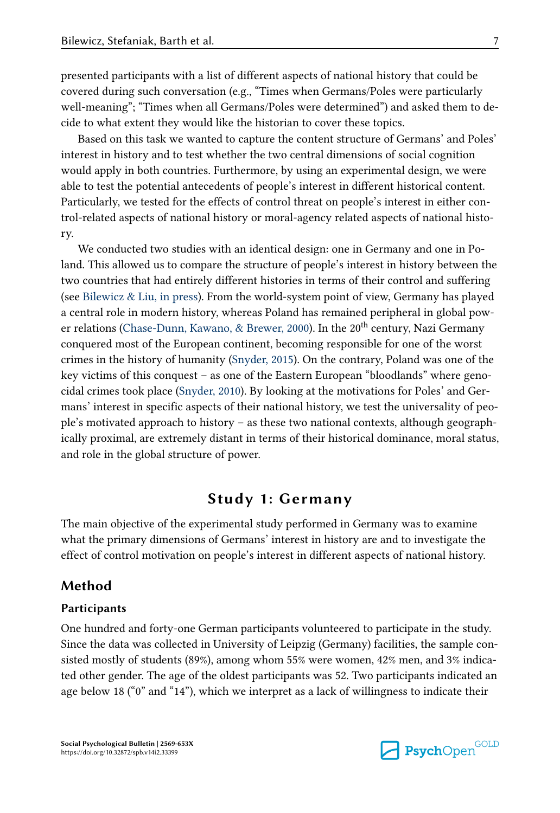presented participants with a list of different aspects of national history that could be covered during such conversation (e.g., "Times when Germans/Poles were particularly well-meaning"; "Times when all Germans/Poles were determined") and asked them to de‐ cide to what extent they would like the historian to cover these topics.

Based on this task we wanted to capture the content structure of Germans' and Poles' interest in history and to test whether the two central dimensions of social cognition would apply in both countries. Furthermore, by using an experimental design, we were able to test the potential antecedents of people's interest in different historical content. Particularly, we tested for the effects of control threat on people's interest in either control-related aspects of national history or moral-agency related aspects of national histo‐ ry.

We conducted two studies with an identical design: one in Germany and one in Poland. This allowed us to compare the structure of people's interest in history between the two countries that had entirely different histories in terms of their control and suffering (see [Bilewicz & Liu, in press](#page-17-0)). From the world-system point of view, Germany has played a central role in modern history, whereas Poland has remained peripheral in global pow‐ er relations ([Chase-Dunn, Kawano, & Brewer, 2000](#page-17-0)). In the 20<sup>th</sup> century, Nazi Germany conquered most of the European continent, becoming responsible for one of the worst crimes in the history of humanity [\(Snyder, 2015](#page-20-0)). On the contrary, Poland was one of the key victims of this conquest – as one of the Eastern European "bloodlands" where genocidal crimes took place ([Snyder, 2010](#page-20-0)). By looking at the motivations for Poles' and Ger‐ mans' interest in specific aspects of their national history, we test the universality of peo‐ ple's motivated approach to history – as these two national contexts, although geograph‐ ically proximal, are extremely distant in terms of their historical dominance, moral status, and role in the global structure of power.

## Study 1: Germany

The main objective of the experimental study performed in Germany was to examine what the primary dimensions of Germans' interest in history are and to investigate the effect of control motivation on people's interest in different aspects of national history.

## Method

#### Participants

One hundred and forty-one German participants volunteered to participate in the study. Since the data was collected in University of Leipzig (Germany) facilities, the sample consisted mostly of students (89%), among whom 55% were women, 42% men, and 3% indicated other gender. The age of the oldest participants was 52. Two participants indicated an age below 18 ("0" and "14"), which we interpret as a lack of willingness to indicate their

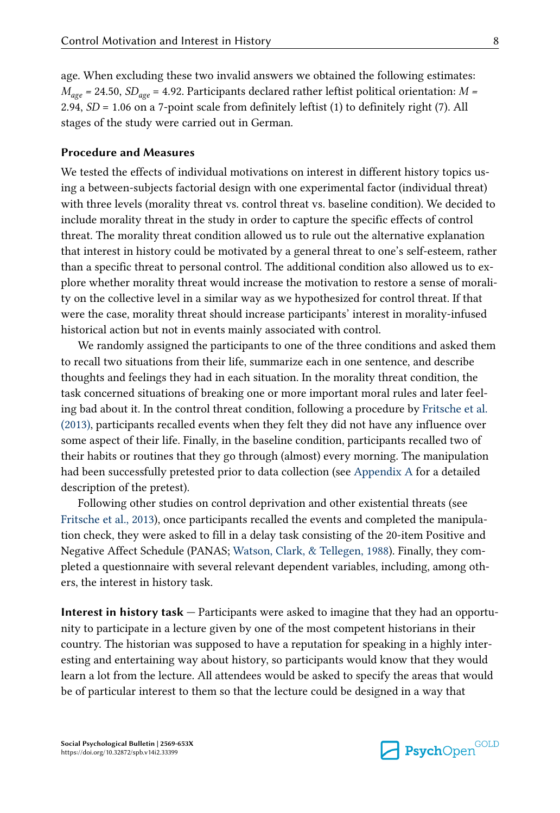age. When excluding these two invalid answers we obtained the following estimates:  $M_{\text{age}}$  = 24.50,  $SD_{\text{age}}$  = 4.92. Participants declared rather leftist political orientation: M = 2.94, SD = 1.06 on a 7-point scale from definitely leftist (1) to definitely right (7). All stages of the study were carried out in German.

### Procedure and Measures

We tested the effects of individual motivations on interest in different history topics us‐ ing a between-subjects factorial design with one experimental factor (individual threat) with three levels (morality threat vs. control threat vs. baseline condition). We decided to include morality threat in the study in order to capture the specific effects of control threat. The morality threat condition allowed us to rule out the alternative explanation that interest in history could be motivated by a general threat to one's self-esteem, rather than a specific threat to personal control. The additional condition also allowed us to ex‐ plore whether morality threat would increase the motivation to restore a sense of morality on the collective level in a similar way as we hypothesized for control threat. If that were the case, morality threat should increase participants' interest in morality-infused historical action but not in events mainly associated with control.

We randomly assigned the participants to one of the three conditions and asked them to recall two situations from their life, summarize each in one sentence, and describe thoughts and feelings they had in each situation. In the morality threat condition, the task concerned situations of breaking one or more important moral rules and later feeling bad about it. In the control threat condition, following a procedure by [Fritsche et al.](#page-18-0) [\(2013\),](#page-18-0) participants recalled events when they felt they did not have any influence over some aspect of their life. Finally, in the baseline condition, participants recalled two of their habits or routines that they go through (almost) every morning. The manipulation had been successfully pretested prior to data collection (see [Appendix A](#page-22-0) for a detailed description of the pretest).

Following other studies on control deprivation and other existential threats (see [Fritsche et al., 2013\)](#page-18-0), once participants recalled the events and completed the manipulation check, they were asked to fill in a delay task consisting of the 20-item Positive and Negative Affect Schedule (PANAS; [Watson, Clark, & Tellegen, 1988\)](#page-20-0). Finally, they com‐ pleted a questionnaire with several relevant dependent variables, including, among oth‐ ers, the interest in history task.

Interest in history task — Participants were asked to imagine that they had an opportu‐ nity to participate in a lecture given by one of the most competent historians in their country. The historian was supposed to have a reputation for speaking in a highly inter‐ esting and entertaining way about history, so participants would know that they would learn a lot from the lecture. All attendees would be asked to specify the areas that would be of particular interest to them so that the lecture could be designed in a way that

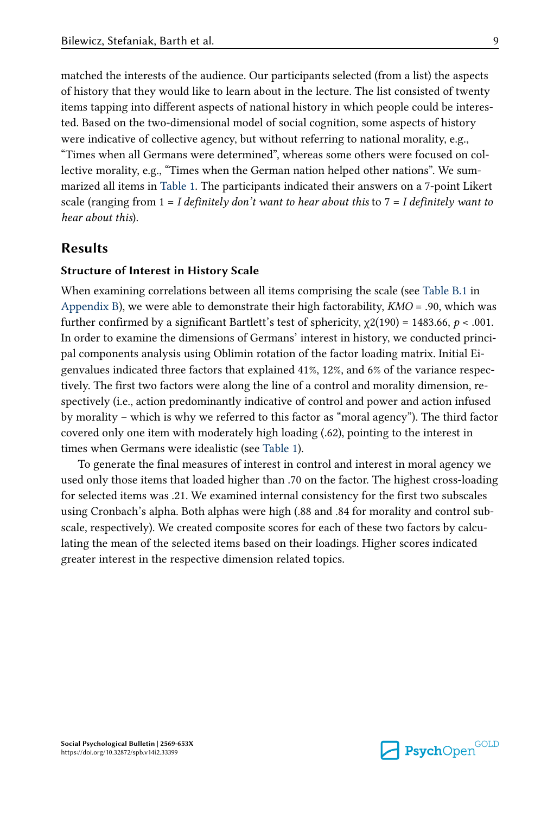matched the interests of the audience. Our participants selected (from a list) the aspects of history that they would like to learn about in the lecture. The list consisted of twenty items tapping into different aspects of national history in which people could be interes‐ ted. Based on the two-dimensional model of social cognition, some aspects of history were indicative of collective agency, but without referring to national morality, e.g., "Times when all Germans were determined", whereas some others were focused on col‐ lective morality, e.g., "Times when the German nation helped other nations". We summarized all items in [Table 1](#page-9-0). The participants indicated their answers on a 7-point Likert scale (ranging from  $1 = I$  definitely don't want to hear about this to  $7 = I$  definitely want to hear about this).

## Results

## Structure of Interest in History Scale

When examining correlations between all items comprising the scale (see [Table B.1](#page-28-0) in [Appendix B](#page-28-0)), we were able to demonstrate their high factorability,  $KMO = .90$ , which was further confirmed by a significant Bartlett's test of sphericity,  $\chi$ 2(190) = 1483.66, p < .001. In order to examine the dimensions of Germans' interest in history, we conducted principal components analysis using Oblimin rotation of the factor loading matrix. Initial Ei‐ genvalues indicated three factors that explained 41%, 12%, and 6% of the variance respec‐ tively. The first two factors were along the line of a control and morality dimension, respectively (i.e., action predominantly indicative of control and power and action infused by morality – which is why we referred to this factor as "moral agency"). The third factor covered only one item with moderately high loading (.62), pointing to the interest in times when Germans were idealistic (see [Table 1\)](#page-9-0).

To generate the final measures of interest in control and interest in moral agency we used only those items that loaded higher than .70 on the factor. The highest cross-loading for selected items was .21. We examined internal consistency for the first two subscales using Cronbach's alpha. Both alphas were high (.88 and .84 for morality and control sub‐ scale, respectively). We created composite scores for each of these two factors by calculating the mean of the selected items based on their loadings. Higher scores indicated greater interest in the respective dimension related topics.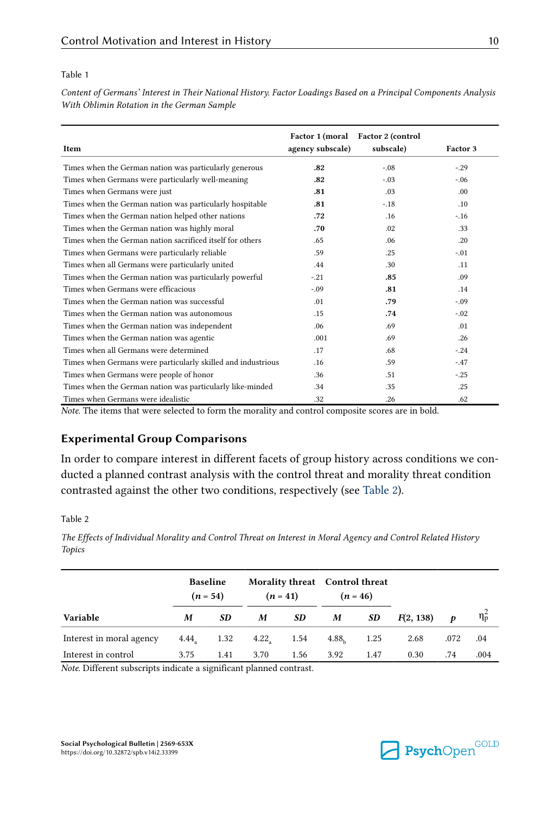#### <span id="page-9-0"></span>Table 1

Content of Germans' Interest in Their National History. Factor Loadings Based on a Principal Components Analysis With Oblimin Rotation in the German Sample

| Item                                                         | agency subscale) | Factor 1 (moral Factor 2 (control<br>subscale) | Factor 3         |
|--------------------------------------------------------------|------------------|------------------------------------------------|------------------|
| Times when the German nation was particularly generous       | .82              | $-.08$                                         | $-.29$           |
| Times when Germans were particularly well-meaning            | .82              | $-.03$                                         | $-.06$           |
| Times when Germans were just                                 | .81              | .03                                            | .00 <sub>1</sub> |
| Times when the German nation was particularly hospitable     | .81              | $-.18$                                         | .10              |
| Times when the German nation helped other nations            | .72              | .16                                            | $-.16$           |
| Times when the German nation was highly moral                | .70              | .02                                            | .33              |
| Times when the German nation sacrificed itself for others    | .65              | .06                                            | .20              |
| Times when Germans were particularly reliable                | .59              | .25                                            | $-.01$           |
| Times when all Germans were particularly united              | .44              | .30                                            | .11              |
| Times when the German nation was particularly powerful       | $-.21$           | .85                                            | .09              |
| Times when Germans were efficacious                          | $-.09$           | .81                                            | .14              |
| Times when the German nation was successful                  | .01              | .79                                            | $-.09$           |
| Times when the German nation was autonomous                  | .15              | .74                                            | $-.02$           |
| Times when the German nation was independent                 | .06              | .69                                            | .01              |
| Times when the German nation was agentic                     | .001             | .69                                            | .26              |
| Times when all Germans were determined                       | .17              | .68                                            | $-.24$           |
| Times when Germans were particularly skilled and industrious | .16              | .59                                            | $-.47$           |
| Times when Germans were people of honor                      | .36              | .51                                            | $-.25$           |
| Times when the German nation was particularly like-minded    | .34              | .35                                            | .25              |
| Times when Germans were idealistic                           | .32              | .26                                            | .62              |

Note. The items that were selected to form the morality and control composite scores are in bold.

## Experimental Group Comparisons

In order to compare interest in different facets of group history across conditions we conducted a planned contrast analysis with the control threat and morality threat condition contrasted against the other two conditions, respectively (see Table 2).

#### Table 2

The Effects of Individual Morality and Control Threat on Interest in Moral Agency and Control Related History Topics

|                          | <b>Baseline</b><br>$(n = 54)$ |      |      | Morality threat Control threat<br>$(n = 41)$ |                   | $(n = 46)$ |           |      |                    |
|--------------------------|-------------------------------|------|------|----------------------------------------------|-------------------|------------|-----------|------|--------------------|
| Variable                 | M                             | SD   | M    | SD                                           | M                 | SD         | F(2, 138) | Ð    | $\eta_{\tilde{p}}$ |
| Interest in moral agency | $4.44$ <sub>2</sub>           | 1.32 | 4.22 | 1.54                                         | 4.88 <sub>b</sub> | 1.25       | 2.68      | .072 | .04                |
| Interest in control      | 3.75                          | 1.41 | 3.70 | 1.56                                         | 3.92              | 1.47       | 0.30      | .74  | .004               |

Note. Different subscripts indicate a significant planned contrast.

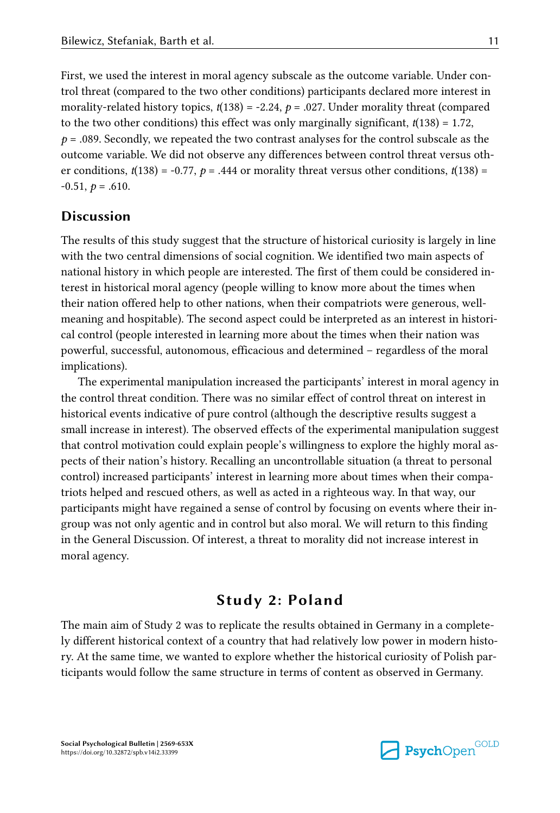First, we used the interest in moral agency subscale as the outcome variable. Under control threat (compared to the two other conditions) participants declared more interest in morality-related history topics,  $t(138) = -2.24$ ,  $p = .027$ . Under morality threat (compared to the two other conditions) this effect was only marginally significant,  $t(138) = 1.72$ ,  $p = .089$ . Secondly, we repeated the two contrast analyses for the control subscale as the outcome variable. We did not observe any differences between control threat versus oth‐ er conditions,  $t(138) = -0.77$ ,  $p = .444$  or morality threat versus other conditions,  $t(138) =$  $-0.51, p = .610.$ 

## Discussion

The results of this study suggest that the structure of historical curiosity is largely in line with the two central dimensions of social cognition. We identified two main aspects of national history in which people are interested. The first of them could be considered in‐ terest in historical moral agency (people willing to know more about the times when their nation offered help to other nations, when their compatriots were generous, wellmeaning and hospitable). The second aspect could be interpreted as an interest in historical control (people interested in learning more about the times when their nation was powerful, successful, autonomous, efficacious and determined – regardless of the moral implications).

The experimental manipulation increased the participants' interest in moral agency in the control threat condition. There was no similar effect of control threat on interest in historical events indicative of pure control (although the descriptive results suggest a small increase in interest). The observed effects of the experimental manipulation suggest that control motivation could explain people's willingness to explore the highly moral as‐ pects of their nation's history. Recalling an uncontrollable situation (a threat to personal control) increased participants' interest in learning more about times when their compa triots helped and rescued others, as well as acted in a righteous way. In that way, our participants might have regained a sense of control by focusing on events where their ingroup was not only agentic and in control but also moral. We will return to this finding in the General Discussion. Of interest, a threat to morality did not increase interest in moral agency.

# Study 2: Poland

The main aim of Study 2 was to replicate the results obtained in Germany in a complete‐ ly different historical context of a country that had relatively low power in modern histo‐ ry. At the same time, we wanted to explore whether the historical curiosity of Polish par‐ ticipants would follow the same structure in terms of content as observed in Germany.

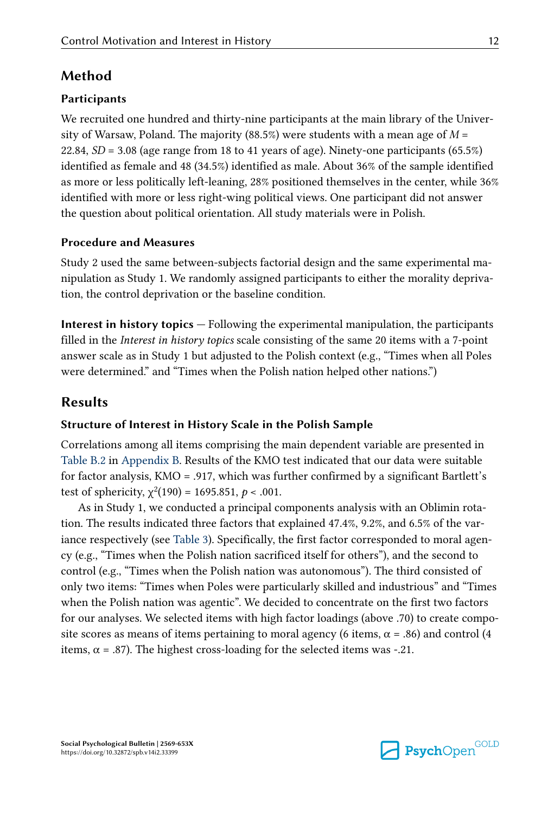# Method

## **Participants**

We recruited one hundred and thirty-nine participants at the main library of the University of Warsaw, Poland. The majority (88.5%) were students with a mean age of  $M =$ 22.84,  $SD = 3.08$  (age range from 18 to 41 years of age). Ninety-one participants (65.5%) identified as female and 48 (34.5%) identified as male. About 36% of the sample identified as more or less politically left-leaning, 28% positioned themselves in the center, while 36% identified with more or less right-wing political views. One participant did not answer the question about political orientation. All study materials were in Polish.

## Procedure and Measures

Study 2 used the same between-subjects factorial design and the same experimental ma‐ nipulation as Study 1. We randomly assigned participants to either the morality depriva‐ tion, the control deprivation or the baseline condition.

Interest in history topics — Following the experimental manipulation, the participants filled in the Interest in history topics scale consisting of the same 20 items with a 7-point answer scale as in Study 1 but adjusted to the Polish context (e.g., "Times when all Poles were determined." and "Times when the Polish nation helped other nations.")

# Results

## Structure of Interest in History Scale in the Polish Sample

Correlations among all items comprising the main dependent variable are presented in [Table B.2](#page-29-0) in [Appendix B.](#page-28-0) Results of the KMO test indicated that our data were suitable for factor analysis, KMO = .917, which was further confirmed by a significant Bartlett's test of sphericity,  $\chi^2(190) = 1695.851, p < .001$ .

As in Study 1, we conducted a principal components analysis with an Oblimin rota‐ tion. The results indicated three factors that explained 47.4%, 9.2%, and 6.5% of the var-iance respectively (see [Table 3](#page-12-0)). Specifically, the first factor corresponded to moral agency (e.g., "Times when the Polish nation sacrificed itself for others"), and the second to control (e.g., "Times when the Polish nation was autonomous"). The third consisted of only two items: "Times when Poles were particularly skilled and industrious" and "Times when the Polish nation was agentic". We decided to concentrate on the first two factors for our analyses. We selected items with high factor loadings (above .70) to create composite scores as means of items pertaining to moral agency (6 items,  $\alpha = .86$ ) and control (4 items,  $\alpha$  = .87). The highest cross-loading for the selected items was -.21.

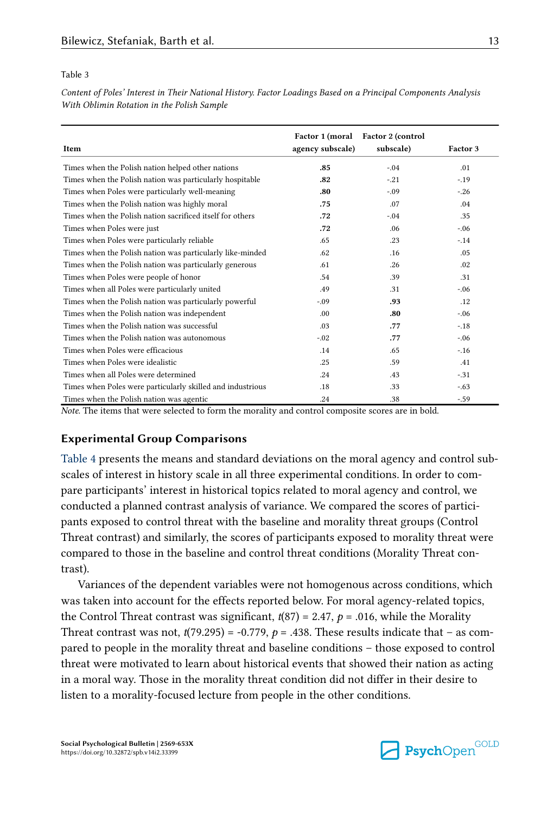#### <span id="page-12-0"></span>Table 3

Content of Poles' Interest in Their National History. Factor Loadings Based on a Principal Components Analysis With Oblimin Rotation in the Polish Sample

| Item                                                       | agency subscale) | Factor 1 (moral Factor 2 (control<br>subscale) | Factor 3 |
|------------------------------------------------------------|------------------|------------------------------------------------|----------|
| Times when the Polish nation helped other nations          | .85              | $-.04$                                         | .01      |
| Times when the Polish nation was particularly hospitable   | .82              | $-.21$                                         | $-.19$   |
| Times when Poles were particularly well-meaning            | .80              | $-.09$                                         | $-.26$   |
| Times when the Polish nation was highly moral              | .75              | .07                                            | .04      |
| Times when the Polish nation sacrificed itself for others  | .72              | $-.04$                                         | .35      |
| Times when Poles were just                                 | .72              | .06                                            | $-.06$   |
| Times when Poles were particularly reliable                | .65              | .23                                            | $-.14$   |
| Times when the Polish nation was particularly like-minded  | .62              | .16                                            | .05      |
| Times when the Polish nation was particularly generous     | .61              | .26                                            | .02      |
| Times when Poles were people of honor                      | .54              | .39                                            | .31      |
| Times when all Poles were particularly united              | .49              | .31                                            | $-.06$   |
| Times when the Polish nation was particularly powerful     | $-.09$           | .93                                            | .12      |
| Times when the Polish nation was independent               | .00 <sub>1</sub> | .80                                            | $-.06$   |
| Times when the Polish nation was successful                | .03              | .77                                            | $-.18$   |
| Times when the Polish nation was autonomous                | $-.02$           | .77                                            | $-.06$   |
| Times when Poles were efficacious                          | .14              | .65                                            | $-.16$   |
| Times when Poles were idealistic                           | .25              | .59                                            | .41      |
| Times when all Poles were determined                       | .24              | .43                                            | $-.31$   |
| Times when Poles were particularly skilled and industrious | .18              | .33                                            | $-.63$   |
| Times when the Polish nation was agentic                   | .24              | .38                                            | $-.59$   |

Note. The items that were selected to form the morality and control composite scores are in bold.

## Experimental Group Comparisons

[Table 4](#page-13-0) presents the means and standard deviations on the moral agency and control subscales of interest in history scale in all three experimental conditions. In order to compare participants' interest in historical topics related to moral agency and control, we conducted a planned contrast analysis of variance. We compared the scores of participants exposed to control threat with the baseline and morality threat groups (Control Threat contrast) and similarly, the scores of participants exposed to morality threat were compared to those in the baseline and control threat conditions (Morality Threat con‐ trast).

Variances of the dependent variables were not homogenous across conditions, which was taken into account for the effects reported below. For moral agency-related topics, the Control Threat contrast was significant,  $t(87) = 2.47$ ,  $p = .016$ , while the Morality Threat contrast was not,  $t(79.295) = -0.779$ ,  $p = .438$ . These results indicate that – as compared to people in the morality threat and baseline conditions – those exposed to control threat were motivated to learn about historical events that showed their nation as acting in a moral way. Those in the morality threat condition did not differ in their desire to listen to a morality-focused lecture from people in the other conditions.

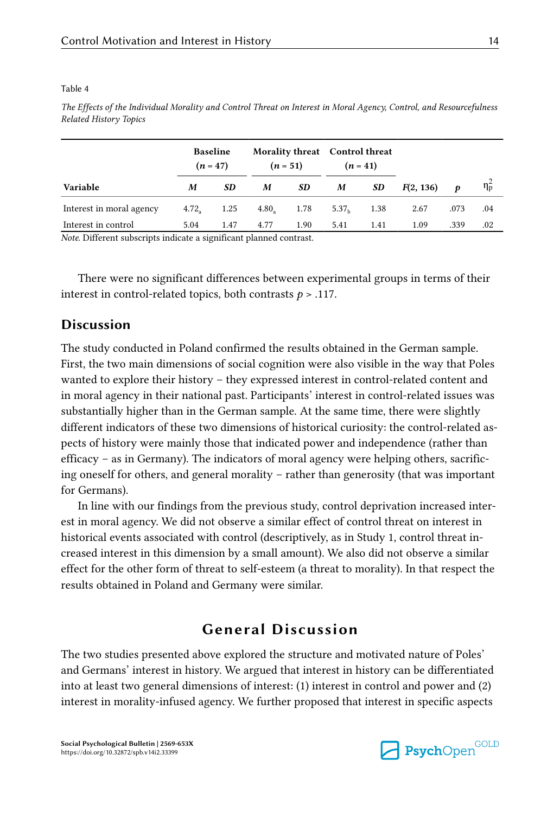|                          | <b>Baseline</b> | $(n = 47)$ |                     | Morality threat Control threat<br>$(n = 51)$ |                   | $(n = 41)$ |           |      |                  |
|--------------------------|-----------------|------------|---------------------|----------------------------------------------|-------------------|------------|-----------|------|------------------|
| Variable                 | M               | SD         | M                   | SD                                           | M                 | SD         | F(2, 136) | Ð    | $\eta_{\rm p}^2$ |
| Interest in moral agency | $4.72_a$        | 1.25       | $4.80$ <sub>2</sub> | 1.78                                         | 5.37 <sub>h</sub> | 1.38       | 2.67      | .073 | .04              |
| Interest in control      | 5.04            | 1.47       | 4.77                | 1.90                                         | 5.41              | 1.41       | 1.09      | .339 | .02              |

<span id="page-13-0"></span>Table 4

The Effects of the Individual Morality and Control Threat on Interest in Moral Agency, Control, and Resourcefulness Related History Topics

Note. Different subscripts indicate a significant planned contrast.

There were no significant differences between experimental groups in terms of their interest in control-related topics, both contrasts  $p > .117$ .

## **Discussion**

The study conducted in Poland confirmed the results obtained in the German sample. First, the two main dimensions of social cognition were also visible in the way that Poles wanted to explore their history – they expressed interest in control-related content and in moral agency in their national past. Participants' interest in control-related issues was substantially higher than in the German sample. At the same time, there were slightly different indicators of these two dimensions of historical curiosity: the control-related as‐ pects of history were mainly those that indicated power and independence (rather than efficacy – as in Germany). The indicators of moral agency were helping others, sacrific‐ ing oneself for others, and general morality – rather than generosity (that was important for Germans).

In line with our findings from the previous study, control deprivation increased inter‐ est in moral agency. We did not observe a similar effect of control threat on interest in historical events associated with control (descriptively, as in Study 1, control threat in‐ creased interest in this dimension by a small amount). We also did not observe a similar effect for the other form of threat to self-esteem (a threat to morality). In that respect the results obtained in Poland and Germany were similar.

## General Discussion

The two studies presented above explored the structure and motivated nature of Poles' and Germans' interest in history. We argued that interest in history can be differentiated into at least two general dimensions of interest: (1) interest in control and power and (2) interest in morality-infused agency. We further proposed that interest in specific aspects

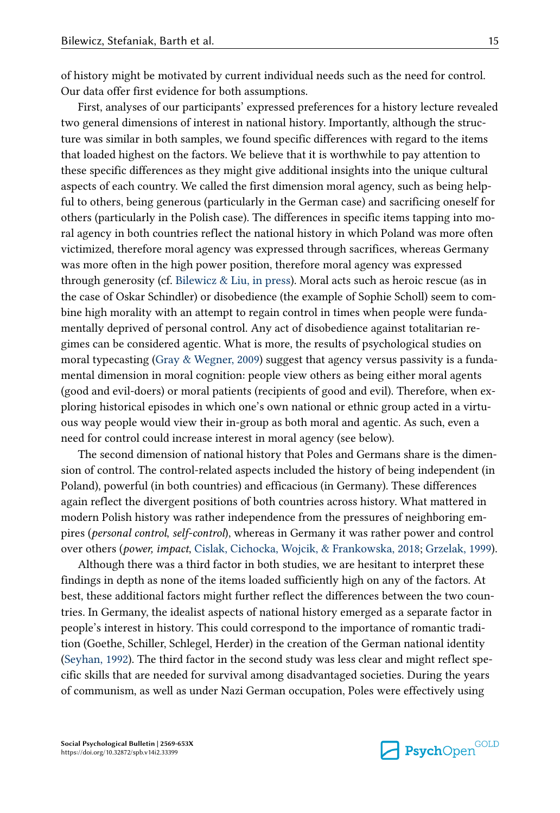of history might be motivated by current individual needs such as the need for control. Our data offer first evidence for both assumptions.

First, analyses of our participants' expressed preferences for a history lecture revealed two general dimensions of interest in national history. Importantly, although the struc‐ ture was similar in both samples, we found specific differences with regard to the items that loaded highest on the factors. We believe that it is worthwhile to pay attention to these specific differences as they might give additional insights into the unique cultural aspects of each country. We called the first dimension moral agency, such as being helpful to others, being generous (particularly in the German case) and sacrificing oneself for others (particularly in the Polish case). The differences in specific items tapping into mo‐ ral agency in both countries reflect the national history in which Poland was more often victimized, therefore moral agency was expressed through sacrifices, whereas Germany was more often in the high power position, therefore moral agency was expressed through generosity (cf. [Bilewicz & Liu, in press\)](#page-17-0). Moral acts such as heroic rescue (as in the case of Oskar Schindler) or disobedience (the example of Sophie Scholl) seem to combine high morality with an attempt to regain control in times when people were fundamentally deprived of personal control. Any act of disobedience against totalitarian regimes can be considered agentic. What is more, the results of psychological studies on moral typecasting [\(Gray & Wegner, 2009\)](#page-18-0) suggest that agency versus passivity is a fundamental dimension in moral cognition: people view others as being either moral agents (good and evil-doers) or moral patients (recipients of good and evil). Therefore, when ex‐ ploring historical episodes in which one's own national or ethnic group acted in a virtu‐ ous way people would view their in-group as both moral and agentic. As such, even a need for control could increase interest in moral agency (see below).

The second dimension of national history that Poles and Germans share is the dimension of control. The control-related aspects included the history of being independent (in Poland), powerful (in both countries) and efficacious (in Germany). These differences again reflect the divergent positions of both countries across history. What mattered in modern Polish history was rather independence from the pressures of neighboring empires (personal control, self-control), whereas in Germany it was rather power and control over others (power, impact, [Cislak, Cichocka, Wojcik, & Frankowska, 2018;](#page-17-0) [Grzelak, 1999\)](#page-18-0).

Although there was a third factor in both studies, we are hesitant to interpret these findings in depth as none of the items loaded sufficiently high on any of the factors. At best, these additional factors might further reflect the differences between the two countries. In Germany, the idealist aspects of national history emerged as a separate factor in people's interest in history. This could correspond to the importance of romantic tradition (Goethe, Schiller, Schlegel, Herder) in the creation of the German national identity [\(Seyhan, 1992](#page-19-0)). The third factor in the second study was less clear and might reflect spe‐ cific skills that are needed for survival among disadvantaged societies. During the years of communism, as well as under Nazi German occupation, Poles were effectively using

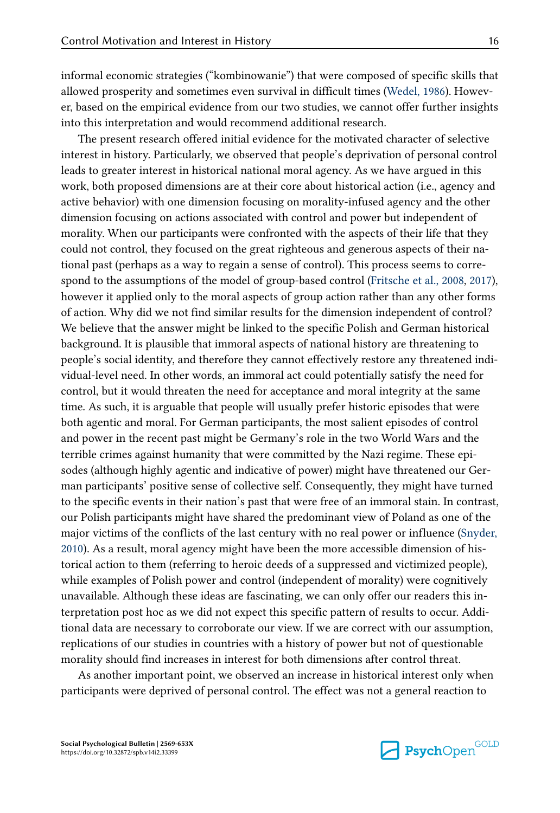informal economic strategies ("kombinowanie") that were composed of specific skills that allowed prosperity and sometimes even survival in difficult times [\(Wedel, 1986](#page-20-0)). Howev‐ er, based on the empirical evidence from our two studies, we cannot offer further insights into this interpretation and would recommend additional research.

The present research offered initial evidence for the motivated character of selective interest in history. Particularly, we observed that people's deprivation of personal control leads to greater interest in historical national moral agency. As we have argued in this work, both proposed dimensions are at their core about historical action (i.e., agency and active behavior) with one dimension focusing on morality-infused agency and the other dimension focusing on actions associated with control and power but independent of morality. When our participants were confronted with the aspects of their life that they could not control, they focused on the great righteous and generous aspects of their na‐ tional past (perhaps as a way to regain a sense of control). This process seems to corre‐ spond to the assumptions of the model of group-based control [\(Fritsche et al., 2008, 2017](#page-18-0)), however it applied only to the moral aspects of group action rather than any other forms of action. Why did we not find similar results for the dimension independent of control? We believe that the answer might be linked to the specific Polish and German historical background. It is plausible that immoral aspects of national history are threatening to people's social identity, and therefore they cannot effectively restore any threatened individual-level need. In other words, an immoral act could potentially satisfy the need for control, but it would threaten the need for acceptance and moral integrity at the same time. As such, it is arguable that people will usually prefer historic episodes that were both agentic and moral. For German participants, the most salient episodes of control and power in the recent past might be Germany's role in the two World Wars and the terrible crimes against humanity that were committed by the Nazi regime. These episodes (although highly agentic and indicative of power) might have threatened our German participants' positive sense of collective self. Consequently, they might have turned to the specific events in their nation's past that were free of an immoral stain. In contrast, our Polish participants might have shared the predominant view of Poland as one of the major victims of the conflicts of the last century with no real power or influence [\(Snyder,](#page-20-0) [2010\)](#page-20-0). As a result, moral agency might have been the more accessible dimension of his‐ torical action to them (referring to heroic deeds of a suppressed and victimized people), while examples of Polish power and control (independent of morality) were cognitively unavailable. Although these ideas are fascinating, we can only offer our readers this in‐ terpretation post hoc as we did not expect this specific pattern of results to occur. Additional data are necessary to corroborate our view. If we are correct with our assumption, replications of our studies in countries with a history of power but not of questionable morality should find increases in interest for both dimensions after control threat.

As another important point, we observed an increase in historical interest only when participants were deprived of personal control. The effect was not a general reaction to

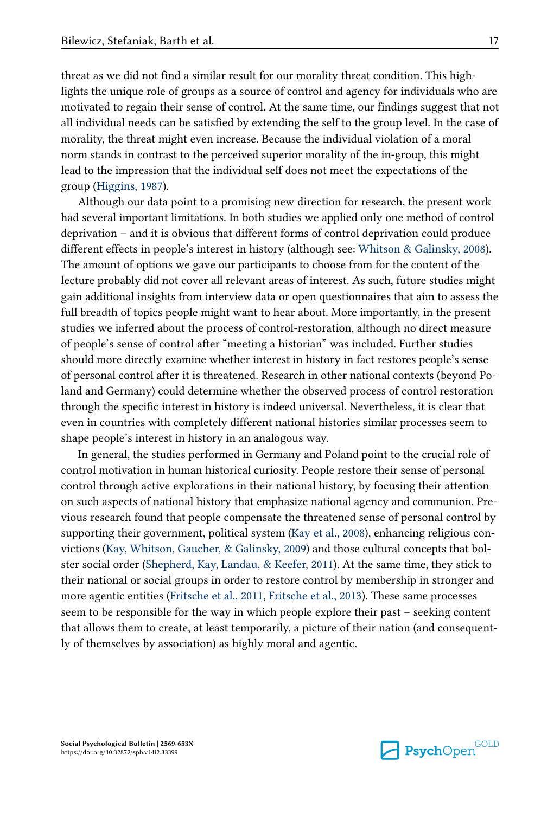threat as we did not find a similar result for our morality threat condition. This highlights the unique role of groups as a source of control and agency for individuals who are motivated to regain their sense of control. At the same time, our findings suggest that not all individual needs can be satisfied by extending the self to the group level. In the case of morality, the threat might even increase. Because the individual violation of a moral norm stands in contrast to the perceived superior morality of the in-group, this might lead to the impression that the individual self does not meet the expectations of the group ([Higgins, 1987](#page-18-0)).

Although our data point to a promising new direction for research, the present work had several important limitations. In both studies we applied only one method of control deprivation – and it is obvious that different forms of control deprivation could produce different effects in people's interest in history (although see: [Whitson & Galinsky, 2008\)](#page-20-0). The amount of options we gave our participants to choose from for the content of the lecture probably did not cover all relevant areas of interest. As such, future studies might gain additional insights from interview data or open questionnaires that aim to assess the full breadth of topics people might want to hear about. More importantly, in the present studies we inferred about the process of control-restoration, although no direct measure of people's sense of control after "meeting a historian" was included. Further studies should more directly examine whether interest in history in fact restores people's sense of personal control after it is threatened. Research in other national contexts (beyond Po‐ land and Germany) could determine whether the observed process of control restoration through the specific interest in history is indeed universal. Nevertheless, it is clear that even in countries with completely different national histories similar processes seem to shape people's interest in history in an analogous way.

In general, the studies performed in Germany and Poland point to the crucial role of control motivation in human historical curiosity. People restore their sense of personal control through active explorations in their national history, by focusing their attention on such aspects of national history that emphasize national agency and communion. Pre‐ vious research found that people compensate the threatened sense of personal control by supporting their government, political system ([Kay et al., 2008\)](#page-18-0), enhancing religious convictions ([Kay, Whitson, Gaucher, & Galinsky, 2009\)](#page-18-0) and those cultural concepts that bol‐ ster social order ([Shepherd, Kay, Landau, & Keefer, 2011\)](#page-20-0). At the same time, they stick to their national or social groups in order to restore control by membership in stronger and more agentic entities [\(Fritsche et al., 2011,](#page-18-0) [Fritsche et al., 2013](#page-18-0)). These same processes seem to be responsible for the way in which people explore their past – seeking content that allows them to create, at least temporarily, a picture of their nation (and consequent‐ ly of themselves by association) as highly moral and agentic.

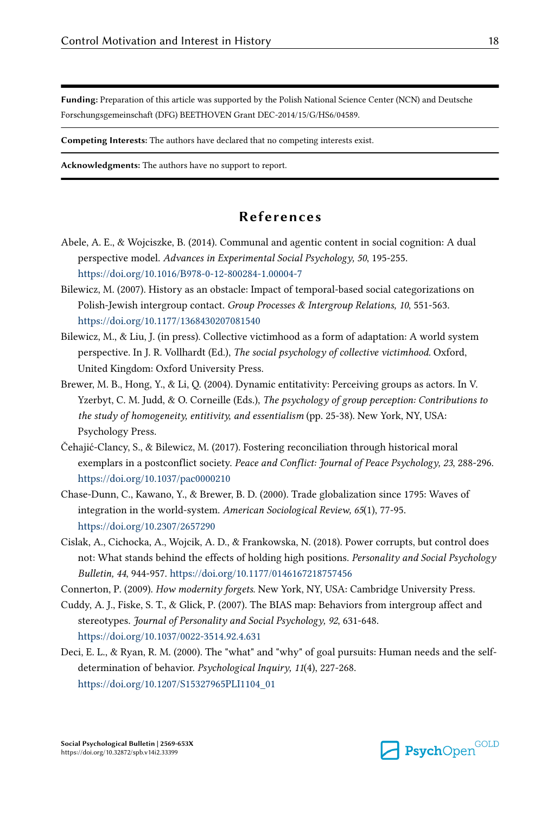<span id="page-17-0"></span>Funding: Preparation of this article was supported by the Polish National Science Center (NCN) and Deutsche Forschungsgemeinschaft (DFG) BEETHOVEN Grant DEC-2014/15/G/HS6/04589.

Competing Interests: The authors have declared that no competing interests exist.

Acknowledgments: The authors have no support to report.

## References

- Abele, A. E., & Wojciszke, B. (2014). Communal and agentic content in social cognition: A dual perspective model. Advances in Experimental Social Psychology, 50, 195-255. <https://doi.org/10.1016/B978-0-12-800284-1.00004-7>
- Bilewicz, M. (2007). History as an obstacle: Impact of temporal-based social categorizations on Polish-Jewish intergroup contact. Group Processes & Intergroup Relations, 10, 551-563. <https://doi.org/10.1177/1368430207081540>
- Bilewicz, M., & Liu, J. (in press). Collective victimhood as a form of adaptation: A world system perspective. In J. R. Vollhardt (Ed.), The social psychology of collective victimhood. Oxford, United Kingdom: Oxford University Press.
- Brewer, M. B., Hong, Y., & Li, Q. (2004). Dynamic entitativity: Perceiving groups as actors. In V. Yzerbyt, C. M. Judd, & O. Corneille (Eds.), The psychology of group perception: Contributions to the study of homogeneity, entitivity, and essentialism (pp. 25-38). New York, NY, USA: Psychology Press.
- Čehajić-Clancy, S., & Bilewicz, M. (2017). Fostering reconciliation through historical moral exemplars in a postconflict society. Peace and Conflict: Journal of Peace Psychology, 23, 288-296. <https://doi.org/10.1037/pac0000210>
- Chase-Dunn, C., Kawano, Y., & Brewer, B. D. (2000). Trade globalization since 1795: Waves of integration in the world-system. American Sociological Review, 65(1), 77-95. <https://doi.org/10.2307/2657290>
- Cislak, A., Cichocka, A., Wojcik, A. D., & Frankowska, N. (2018). Power corrupts, but control does not: What stands behind the effects of holding high positions. Personality and Social Psychology Bulletin, 44, 944-957.<https://doi.org/10.1177/0146167218757456>
- Connerton, P. (2009). How modernity forgets. New York, NY, USA: Cambridge University Press.
- Cuddy, A. J., Fiske, S. T., & Glick, P. (2007). The BIAS map: Behaviors from intergroup affect and stereotypes. Journal of Personality and Social Psychology, 92, 631-648. <https://doi.org/10.1037/0022-3514.92.4.631>
- Deci, E. L., & Ryan, R. M. (2000). The "what" and "why" of goal pursuits: Human needs and the selfdetermination of behavior. Psychological Inquiry, 11(4), 227-268. [https://doi.org/10.1207/S15327965PLI1104\\_01](https://doi.org/10.1207/S15327965PLI1104_01)

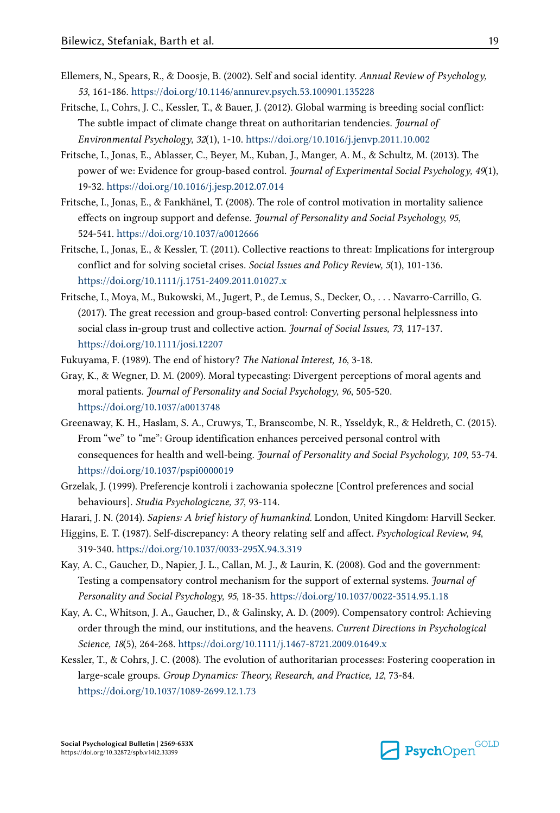- <span id="page-18-0"></span>Ellemers, N., Spears, R., & Doosje, B. (2002). Self and social identity. Annual Review of Psychology, 53, 161-186. <https://doi.org/10.1146/annurev.psych.53.100901.135228>
- Fritsche, I., Cohrs, J. C., Kessler, T., & Bauer, J. (2012). Global warming is breeding social conflict: The subtle impact of climate change threat on authoritarian tendencies. Journal of Environmental Psychology, 32(1), 1-10. <https://doi.org/10.1016/j.jenvp.2011.10.002>
- Fritsche, I., Jonas, E., Ablasser, C., Beyer, M., Kuban, J., Manger, A. M., & Schultz, M. (2013). The power of we: Evidence for group-based control. Journal of Experimental Social Psychology, 49(1), 19-32.<https://doi.org/10.1016/j.jesp.2012.07.014>
- Fritsche, I., Jonas, E., & Fankhänel, T. (2008). The role of control motivation in mortality salience effects on ingroup support and defense. Journal of Personality and Social Psychology, 95, 524-541. <https://doi.org/10.1037/a0012666>
- Fritsche, I., Jonas, E., & Kessler, T. (2011). Collective reactions to threat: Implications for intergroup conflict and for solving societal crises. Social Issues and Policy Review, 5(1), 101-136. <https://doi.org/10.1111/j.1751-2409.2011.01027.x>
- Fritsche, I., Moya, M., Bukowski, M., Jugert, P., de Lemus, S., Decker, O., . . . Navarro‐Carrillo, G. (2017). The great recession and group‐based control: Converting personal helplessness into social class in-group trust and collective action. Journal of Social Issues, 73, 117-137. <https://doi.org/10.1111/josi.12207>
- Fukuyama, F. (1989). The end of history? The National Interest, 16, 3-18.
- Gray, K., & Wegner, D. M. (2009). Moral typecasting: Divergent perceptions of moral agents and moral patients. Journal of Personality and Social Psychology, 96, 505-520. <https://doi.org/10.1037/a0013748>
- Greenaway, K. H., Haslam, S. A., Cruwys, T., Branscombe, N. R., Ysseldyk, R., & Heldreth, C. (2015). From "we" to "me": Group identification enhances perceived personal control with consequences for health and well-being. Journal of Personality and Social Psychology, 109, 53-74. <https://doi.org/10.1037/pspi0000019>
- Grzelak, J. (1999). Preferencje kontroli i zachowania społeczne [Control preferences and social behaviours]. Studia Psychologiczne, 37, 93-114.
- Harari, J. N. (2014). Sapiens: A brief history of humankind. London, United Kingdom: Harvill Secker.
- Higgins, E. T. (1987). Self-discrepancy: A theory relating self and affect. Psychological Review, 94, 319-340. <https://doi.org/10.1037/0033-295X.94.3.319>
- Kay, A. C., Gaucher, D., Napier, J. L., Callan, M. J., & Laurin, K. (2008). God and the government: Testing a compensatory control mechanism for the support of external systems. Journal of Personality and Social Psychology, 95, 18-35. <https://doi.org/10.1037/0022-3514.95.1.18>
- Kay, A. C., Whitson, J. A., Gaucher, D., & Galinsky, A. D. (2009). Compensatory control: Achieving order through the mind, our institutions, and the heavens. Current Directions in Psychological Science, 18(5), 264-268. <https://doi.org/10.1111/j.1467-8721.2009.01649.x>
- Kessler, T., & Cohrs, J. C. (2008). The evolution of authoritarian processes: Fostering cooperation in large-scale groups. Group Dynamics: Theory, Research, and Practice, 12, 73-84. <https://doi.org/10.1037/1089-2699.12.1.73>

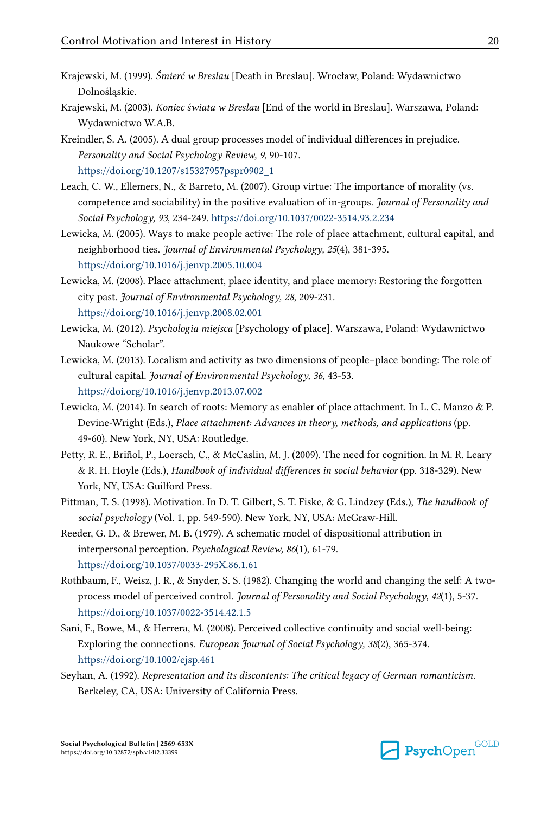- <span id="page-19-0"></span>Krajewski, M. (1999). Śmierć w Breslau [Death in Breslau]. Wrocław, Poland: Wydawnictwo Dolnośląskie.
- Krajewski, M. (2003). Koniec świata w Breslau [End of the world in Breslau]. Warszawa, Poland: Wydawnictwo W.A.B.
- Kreindler, S. A. (2005). A dual group processes model of individual differences in prejudice. Personality and Social Psychology Review, 9, 90-107. [https://doi.org/10.1207/s15327957pspr0902\\_1](https://doi.org/10.1207/s15327957pspr0902_1)
- Leach, C. W., Ellemers, N., & Barreto, M. (2007). Group virtue: The importance of morality (vs. competence and sociability) in the positive evaluation of in-groups. Journal of Personality and Social Psychology, 93, 234-249. <https://doi.org/10.1037/0022-3514.93.2.234>
- Lewicka, M. (2005). Ways to make people active: The role of place attachment, cultural capital, and neighborhood ties. Journal of Environmental Psychology, 25(4), 381-395. <https://doi.org/10.1016/j.jenvp.2005.10.004>
- Lewicka, M. (2008). Place attachment, place identity, and place memory: Restoring the forgotten city past. Journal of Environmental Psychology, 28, 209-231. <https://doi.org/10.1016/j.jenvp.2008.02.001>
- Lewicka, M. (2012). Psychologia miejsca [Psychology of place]. Warszawa, Poland: Wydawnictwo Naukowe "Scholar".
- Lewicka, M. (2013). Localism and activity as two dimensions of people–place bonding: The role of cultural capital. Journal of Environmental Psychology, 36, 43-53. <https://doi.org/10.1016/j.jenvp.2013.07.002>
- Lewicka, M. (2014). In search of roots: Memory as enabler of place attachment. In L. C. Manzo & P. Devine-Wright (Eds.), Place attachment: Advances in theory, methods, and applications (pp. 49-60). New York, NY, USA: Routledge.
- Petty, R. E., Briñol, P., Loersch, C., & McCaslin, M. J. (2009). The need for cognition. In M. R. Leary & R. H. Hoyle (Eds.), Handbook of individual differences in social behavior (pp. 318-329). New York, NY, USA: Guilford Press.
- Pittman, T. S. (1998). Motivation. In D. T. Gilbert, S. T. Fiske, & G. Lindzey (Eds.), The handbook of social psychology (Vol. 1, pp. 549-590). New York, NY, USA: McGraw-Hill.
- Reeder, G. D., & Brewer, M. B. (1979). A schematic model of dispositional attribution in interpersonal perception. Psychological Review, 86(1), 61-79. <https://doi.org/10.1037/0033-295X.86.1.61>
- Rothbaum, F., Weisz, J. R., & Snyder, S. S. (1982). Changing the world and changing the self: A twoprocess model of perceived control. Journal of Personality and Social Psychology, 42(1), 5-37. <https://doi.org/10.1037/0022-3514.42.1.5>
- Sani, F., Bowe, M., & Herrera, M. (2008). Perceived collective continuity and social well-being: Exploring the connections. European Journal of Social Psychology, 38(2), 365-374. <https://doi.org/10.1002/ejsp.461>
- Seyhan, A. (1992). Representation and its discontents: The critical legacy of German romanticism. Berkeley, CA, USA: University of California Press.

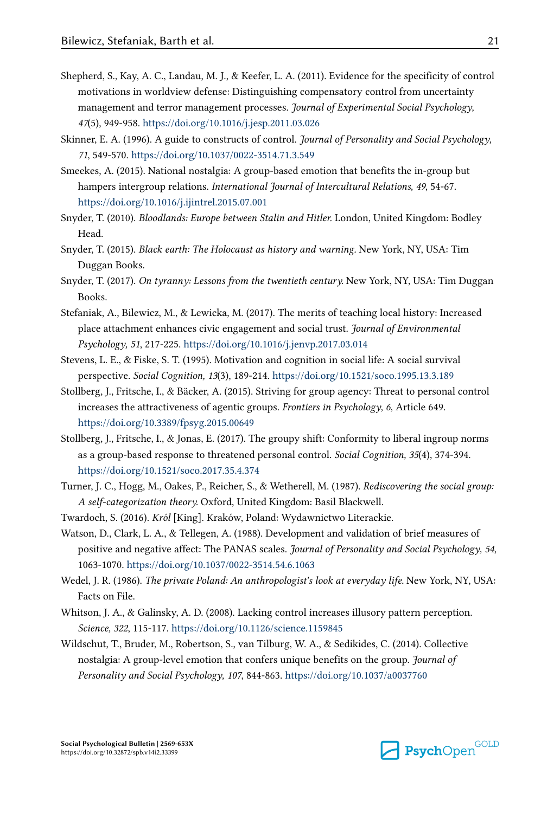- <span id="page-20-0"></span>Shepherd, S., Kay, A. C., Landau, M. J., & Keefer, L. A. (2011). Evidence for the specificity of control motivations in worldview defense: Distinguishing compensatory control from uncertainty management and terror management processes. *Journal of Experimental Social Psychology*, 47(5), 949-958.<https://doi.org/10.1016/j.jesp.2011.03.026>
- Skinner, E. A. (1996). A guide to constructs of control. Journal of Personality and Social Psychology, 71, 549-570. <https://doi.org/10.1037/0022-3514.71.3.549>
- Smeekes, A. (2015). National nostalgia: A group-based emotion that benefits the in-group but hampers intergroup relations. International Journal of Intercultural Relations, 49, 54-67. <https://doi.org/10.1016/j.ijintrel.2015.07.001>
- Snyder, T. (2010). Bloodlands: Europe between Stalin and Hitler. London, United Kingdom: Bodley Head.
- Snyder, T. (2015). Black earth: The Holocaust as history and warning. New York, NY, USA: Tim Duggan Books.
- Snyder, T. (2017). On tyranny: Lessons from the twentieth century. New York, NY, USA: Tim Duggan Books.
- Stefaniak, A., Bilewicz, M., & Lewicka, M. (2017). The merits of teaching local history: Increased place attachment enhances civic engagement and social trust. Journal of Environmental Psychology, 51, 217-225. <https://doi.org/10.1016/j.jenvp.2017.03.014>
- Stevens, L. E., & Fiske, S. T. (1995). Motivation and cognition in social life: A social survival perspective. Social Cognition, 13(3), 189-214. <https://doi.org/10.1521/soco.1995.13.3.189>
- Stollberg, J., Fritsche, I., & Bäcker, A. (2015). Striving for group agency: Threat to personal control increases the attractiveness of agentic groups. Frontiers in Psychology, 6, Article 649. <https://doi.org/10.3389/fpsyg.2015.00649>
- Stollberg, J., Fritsche, I., & Jonas, E. (2017). The groupy shift: Conformity to liberal ingroup norms as a group-based response to threatened personal control. Social Cognition, 35(4), 374-394. <https://doi.org/10.1521/soco.2017.35.4.374>
- Turner, J. C., Hogg, M., Oakes, P., Reicher, S., & Wetherell, M. (1987). Rediscovering the social group: A self-categorization theory. Oxford, United Kingdom: Basil Blackwell.
- Twardoch, S. (2016). Król [King]. Kraków, Poland: Wydawnictwo Literackie.
- Watson, D., Clark, L. A., & Tellegen, A. (1988). Development and validation of brief measures of positive and negative affect: The PANAS scales. Journal of Personality and Social Psychology, 54, 1063-1070. <https://doi.org/10.1037/0022-3514.54.6.1063>
- Wedel, J. R. (1986). The private Poland: An anthropologist's look at everyday life. New York, NY, USA: Facts on File.
- Whitson, J. A., & Galinsky, A. D. (2008). Lacking control increases illusory pattern perception. Science, 322, 115-117.<https://doi.org/10.1126/science.1159845>
- Wildschut, T., Bruder, M., Robertson, S., van Tilburg, W. A., & Sedikides, C. (2014). Collective nostalgia: A group-level emotion that confers unique benefits on the group. Journal of Personality and Social Psychology, 107, 844-863.<https://doi.org/10.1037/a0037760>



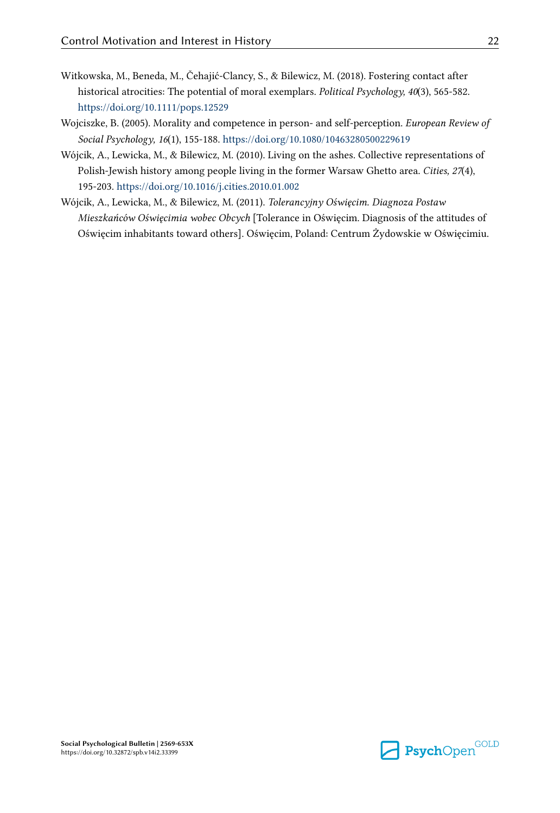- <span id="page-21-0"></span>Witkowska, M., Beneda, M., Čehajić-Clancy, S., & Bilewicz, M. (2018). Fostering contact after historical atrocities: The potential of moral exemplars. Political Psychology, 40(3), 565-582. <https://doi.org/10.1111/pops.12529>
- Wojciszke, B. (2005). Morality and competence in person- and self-perception. European Review of Social Psychology, 16(1), 155-188.<https://doi.org/10.1080/10463280500229619>
- Wójcik, A., Lewicka, M., & Bilewicz, M. (2010). Living on the ashes. Collective representations of Polish-Jewish history among people living in the former Warsaw Ghetto area. Cities, 27(4), 195-203. <https://doi.org/10.1016/j.cities.2010.01.002>
- Wójcik, A., Lewicka, M., & Bilewicz, M. (2011). Tolerancyjny Oświęcim. Diagnoza Postaw Mieszkańców Oświęcimia wobec Obcych [Tolerance in Oświęcim. Diagnosis of the attitudes of Oświęcim inhabitants toward others]. Oświęcim, Poland: Centrum Żydowskie w Oświęcimiu.

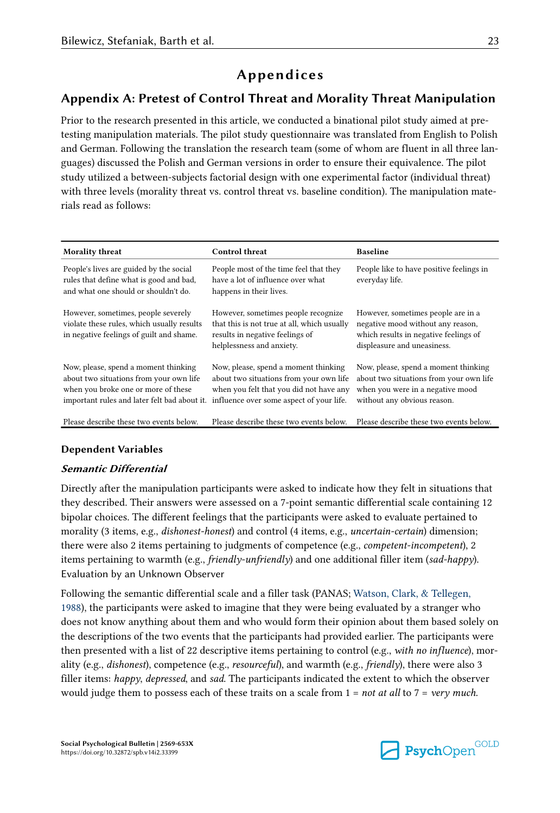# Appendices

## <span id="page-22-0"></span>Appendix A: Pretest of Control Threat and Morality Threat Manipulation

Prior to the research presented in this article, we conducted a binational pilot study aimed at pretesting manipulation materials. The pilot study questionnaire was translated from English to Polish and German. Following the translation the research team (some of whom are fluent in all three lan‐ guages) discussed the Polish and German versions in order to ensure their equivalence. The pilot study utilized a between-subjects factorial design with one experimental factor (individual threat) with three levels (morality threat vs. control threat vs. baseline condition). The manipulation materials read as follows:

| Morality threat                                                                                                                                                        | <b>Control threat</b>                                                                                                                                                  | <b>Baseline</b>                                                                                                                                    |
|------------------------------------------------------------------------------------------------------------------------------------------------------------------------|------------------------------------------------------------------------------------------------------------------------------------------------------------------------|----------------------------------------------------------------------------------------------------------------------------------------------------|
| People's lives are guided by the social<br>rules that define what is good and bad,<br>and what one should or shouldn't do.                                             | People most of the time feel that they<br>have a lot of influence over what<br>happens in their lives.                                                                 | People like to have positive feelings in<br>everyday life.                                                                                         |
| However, sometimes, people severely<br>violate these rules, which usually results<br>in negative feelings of guilt and shame.                                          | However, sometimes people recognize<br>that this is not true at all, which usually<br>results in negative feelings of<br>helplessness and anxiety.                     | However, sometimes people are in a<br>negative mood without any reason,<br>which results in negative feelings of<br>displeasure and uneasiness.    |
| Now, please, spend a moment thinking<br>about two situations from your own life<br>when you broke one or more of these<br>important rules and later felt bad about it. | Now, please, spend a moment thinking<br>about two situations from your own life<br>when you felt that you did not have any<br>influence over some aspect of your life. | Now, please, spend a moment thinking<br>about two situations from your own life<br>when you were in a negative mood<br>without any obvious reason. |
| Please describe these two events below.                                                                                                                                | Please describe these two events below.                                                                                                                                | Please describe these two events below.                                                                                                            |

## Dependent Variables

## Semantic Differential

Directly after the manipulation participants were asked to indicate how they felt in situations that they described. Their answers were assessed on a 7-point semantic differential scale containing 12 bipolar choices. The different feelings that the participants were asked to evaluate pertained to morality (3 items, e.g., *dishonest-honest*) and control (4 items, e.g., *uncertain-certain*) dimension; there were also 2 items pertaining to judgments of competence (e.g., *competent-incompetent*), 2 items pertaining to warmth (e.g., *friendly-unfriendly*) and one additional filler item (sad-happy). Evaluation by an Unknown Observer

Following the semantic differential scale and a filler task (PANAS; [Watson, Clark, & Tellegen,](#page-20-0) [1988\)](#page-20-0), the participants were asked to imagine that they were being evaluated by a stranger who does not know anything about them and who would form their opinion about them based solely on the descriptions of the two events that the participants had provided earlier. The participants were then presented with a list of 22 descriptive items pertaining to control (e.g., with no influence), morality (e.g., dishonest), competence (e.g., resourceful), and warmth (e.g., friendly), there were also 3 filler items: happy, depressed, and sad. The participants indicated the extent to which the observer would judge them to possess each of these traits on a scale from  $1 = not$  at all to  $7 = very$  much.

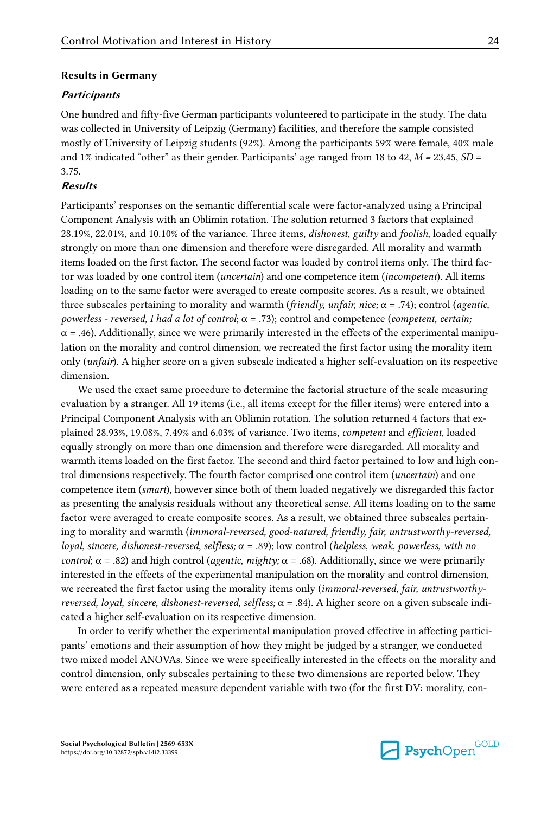#### Results in Germany

#### **Participants**

One hundred and fifty-five German participants volunteered to participate in the study. The data was collected in University of Leipzig (Germany) facilities, and therefore the sample consisted mostly of University of Leipzig students (92%). Among the participants 59% were female, 40% male and 1% indicated "other" as their gender. Participants' age ranged from 18 to 42,  $M = 23.45$ ,  $SD =$ 3.75.

#### Results

Participants' responses on the semantic differential scale were factor-analyzed using a Principal Component Analysis with an Oblimin rotation. The solution returned 3 factors that explained 28.19%, 22.01%, and 10.10% of the variance. Three items, dishonest, guilty and foolish, loaded equally strongly on more than one dimension and therefore were disregarded. All morality and warmth items loaded on the first factor. The second factor was loaded by control items only. The third factor was loaded by one control item (*uncertain*) and one competence item (*incompetent*). All items loading on to the same factor were averaged to create composite scores. As a result, we obtained three subscales pertaining to morality and warmth (friendly, unfair, nice;  $\alpha = .74$ ); control (agentic, powerless - reversed, I had a lot of control;  $\alpha = .73$ ); control and competence (competent, certain;  $\alpha$  = .46). Additionally, since we were primarily interested in the effects of the experimental manipulation on the morality and control dimension, we recreated the first factor using the morality item only (unfair). A higher score on a given subscale indicated a higher self-evaluation on its respective dimension.

We used the exact same procedure to determine the factorial structure of the scale measuring evaluation by a stranger. All 19 items (i.e., all items except for the filler items) were entered into a Principal Component Analysis with an Oblimin rotation. The solution returned 4 factors that ex‐ plained 28.93%, 19.08%, 7.49% and 6.03% of variance. Two items, competent and efficient, loaded equally strongly on more than one dimension and therefore were disregarded. All morality and warmth items loaded on the first factor. The second and third factor pertained to low and high control dimensions respectively. The fourth factor comprised one control item (uncertain) and one competence item (smart), however since both of them loaded negatively we disregarded this factor as presenting the analysis residuals without any theoretical sense. All items loading on to the same factor were averaged to create composite scores. As a result, we obtained three subscales pertaining to morality and warmth (immoral-reversed, good-natured, friendly, fair, untrustworthy-reversed, loyal, sincere, dishonest-reversed, selfless;  $\alpha = .89$ ); low control (helpless, weak, powerless, with no control;  $\alpha$  = .82) and high control (*agentic, mighty;*  $\alpha$  = .68). Additionally, since we were primarily interested in the effects of the experimental manipulation on the morality and control dimension, we recreated the first factor using the morality items only (immoral-reversed, fair, untrustworthy*reversed, loyal, sincere, dishonest-reversed, selfless;*  $\alpha$  *= .84). A higher score on a given subscale indi*cated a higher self-evaluation on its respective dimension.

In order to verify whether the experimental manipulation proved effective in affecting participants' emotions and their assumption of how they might be judged by a stranger, we conducted two mixed model ANOVAs. Since we were specifically interested in the effects on the morality and control dimension, only subscales pertaining to these two dimensions are reported below. They were entered as a repeated measure dependent variable with two (for the first DV: morality, con-

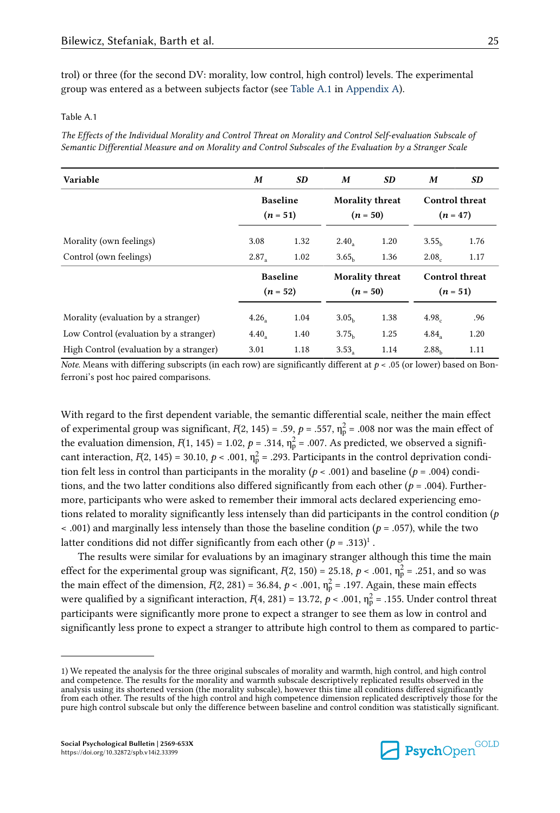trol) or three (for the second DV: morality, low control, high control) levels. The experimental group was entered as a between subjects factor (see Table A.1 in [Appendix A\)](#page-22-0).

#### Table A.1

The Effects of the Individual Morality and Control Threat on Morality and Control Self-evaluation Subscale of Semantic Differential Measure and on Morality and Control Subscales of the Evaluation by a Stranger Scale

| Variable                                | M                   | SD                            | M                   | SD                                   | M                                   | SD                    |
|-----------------------------------------|---------------------|-------------------------------|---------------------|--------------------------------------|-------------------------------------|-----------------------|
|                                         |                     | <b>Baseline</b><br>$(n = 51)$ |                     | <b>Morality threat</b><br>$(n = 50)$ | $(n = 47)$                          | <b>Control threat</b> |
| Morality (own feelings)                 | 3.08                | 1.32                          | $2.40$ <sub>2</sub> | 1.20                                 | 3.55 <sub>b</sub>                   | 1.76                  |
| Control (own feelings)                  | $2.87_a$            | 1.02                          | 3.65 <sub>b</sub>   | 1.36                                 | 2.08 <sub>c</sub>                   | 1.17                  |
|                                         |                     | <b>Baseline</b><br>$(n = 52)$ |                     | <b>Morality threat</b><br>$(n = 50)$ | <b>Control threat</b><br>$(n = 51)$ |                       |
| Morality (evaluation by a stranger)     | 4.26                | 1.04                          | 3.05 <sub>b</sub>   | 1.38                                 | 4.98 <sub>c</sub>                   | .96                   |
| Low Control (evaluation by a stranger)  | $4.40$ <sub>2</sub> | 1.40                          | 3.75 <sub>b</sub>   | 1.25                                 | 4.84.                               | 1.20                  |
| High Control (evaluation by a stranger) | 3.01                | 1.18                          | 3.53 <sub>°</sub>   | 1.14                                 | 2.88 <sub>b</sub>                   | 1.11                  |

Note. Means with differing subscripts (in each row) are significantly different at  $p < .05$  (or lower) based on Bonferroni's post hoc paired comparisons.

With regard to the first dependent variable, the semantic differential scale, neither the main effect of experimental group was significant,  $F(2, 145) = .59$ ,  $p = .557$ ,  $\eta_p^2 = .008$  nor was the main effect of the evaluation dimension,  $F(1, 145) = 1.02$ ,  $p = .314$ ,  $\eta_p^2 = .007$ . As predicted, we observed a significant interaction,  $F(2, 145) = 30.10$ ,  $p < .001$ ,  $\eta_{p}^{2} = .293$ . Participants in the control deprivation condition felt less in control than participants in the morality ( $p < .001$ ) and baseline ( $p = .004$ ) conditions, and the two latter conditions also differed significantly from each other ( $p = .004$ ). Furthermore, participants who were asked to remember their immoral acts declared experiencing emotions related to morality significantly less intensely than did participants in the control condition ( $p$ )  $\leq$  .001) and marginally less intensely than those the baseline condition ( $p = .057$ ), while the two latter conditions did not differ significantly from each other ( $p = .313$ )<sup>1</sup>.

The results were similar for evaluations by an imaginary stranger although this time the main effect for the experimental group was significant,  $F(2, 150) = 25.18$ ,  $p < .001$ ,  $\eta_{\rm p}^2 = .251$ , and so was the main effect of the dimension,  $F(2, 281) = 36.84$ ,  $p < .001$ ,  $\eta_p^2 = .197$ . Again, these main effects were qualified by a significant interaction,  $F(4,\,281)$  = 13.72,  $p$  < .001,  $\eta_p^2$  = .155. Under control threat participants were significantly more prone to expect a stranger to see them as low in control and significantly less prone to expect a stranger to attribute high control to them as compared to partic‐



<sup>1)</sup> We repeated the analysis for the three original subscales of morality and warmth, high control, and high control and competence. The results for the morality and warmth subscale descriptively replicated results observed in the analysis using its shortened version (the morality subscale), however this time all conditions differed significantly from each other. The results of the high control and high competence dimension replicated descriptively those for the pure high control subscale but only the difference between baseline and control condition was statistically significant.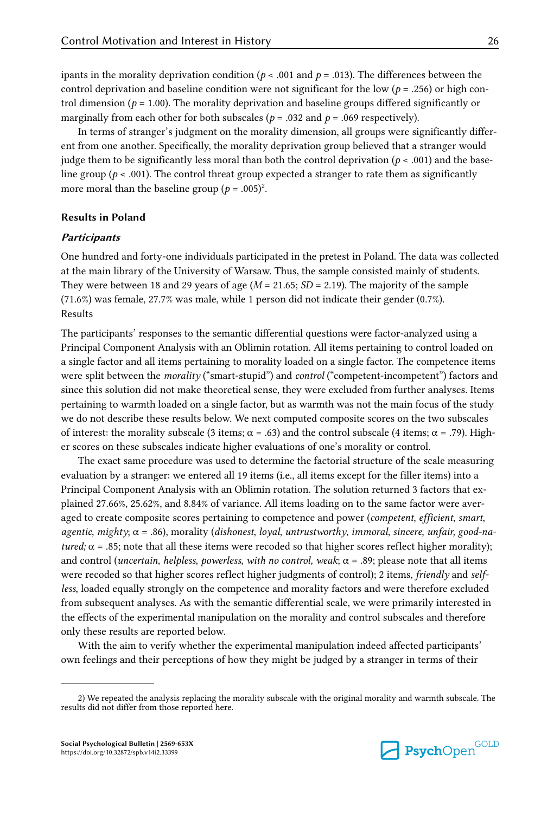ipants in the morality deprivation condition ( $p < .001$  and  $p = .013$ ). The differences between the control deprivation and baseline condition were not significant for the low ( $p = .256$ ) or high con-

trol dimension ( $p = 1.00$ ). The morality deprivation and baseline groups differed significantly or marginally from each other for both subscales ( $p = .032$  and  $p = .069$  respectively).

In terms of stranger's judgment on the morality dimension, all groups were significantly differ‐ ent from one another. Specifically, the morality deprivation group believed that a stranger would judge them to be significantly less moral than both the control deprivation ( $p < .001$ ) and the baseline group ( $p < .001$ ). The control threat group expected a stranger to rate them as significantly more moral than the baseline group ( $p = .005$ )<sup>2</sup>.

#### Results in Poland

#### **Participants**

One hundred and forty-one individuals participated in the pretest in Poland. The data was collected at the main library of the University of Warsaw. Thus, the sample consisted mainly of students. They were between 18 and 29 years of age  $(M = 21.65; SD = 2.19)$ . The majority of the sample (71.6%) was female, 27.7% was male, while 1 person did not indicate their gender (0.7%). Results

The participants' responses to the semantic differential questions were factor-analyzed using a Principal Component Analysis with an Oblimin rotation. All items pertaining to control loaded on a single factor and all items pertaining to morality loaded on a single factor. The competence items were split between the *morality* ("smart-stupid") and *control* ("competent-incompetent") factors and since this solution did not make theoretical sense, they were excluded from further analyses. Items pertaining to warmth loaded on a single factor, but as warmth was not the main focus of the study we do not describe these results below. We next computed composite scores on the two subscales of interest: the morality subscale (3 items;  $\alpha$  = .63) and the control subscale (4 items;  $\alpha$  = .79). Higher scores on these subscales indicate higher evaluations of one's morality or control.

The exact same procedure was used to determine the factorial structure of the scale measuring evaluation by a stranger: we entered all 19 items (i.e., all items except for the filler items) into a Principal Component Analysis with an Oblimin rotation. The solution returned 3 factors that ex‐ plained 27.66%, 25.62%, and 8.84% of variance. All items loading on to the same factor were aver‐ aged to create composite scores pertaining to competence and power (competent, efficient, smart, agentic, mighty;  $\alpha = .86$ ), morality (dishonest, loyal, untrustworthy, immoral, sincere, unfair, good-natured;  $\alpha$  = .85; note that all these items were recoded so that higher scores reflect higher morality); and control (*uncertain, helpless, powerless, with no control, weak*;  $\alpha$  = .89; please note that all items were recoded so that higher scores reflect higher judgments of control); 2 items, friendly and selfless, loaded equally strongly on the competence and morality factors and were therefore excluded from subsequent analyses. As with the semantic differential scale, we were primarily interested in the effects of the experimental manipulation on the morality and control subscales and therefore only these results are reported below.

With the aim to verify whether the experimental manipulation indeed affected participants' own feelings and their perceptions of how they might be judged by a stranger in terms of their



<sup>2)</sup> We repeated the analysis replacing the morality subscale with the original morality and warmth subscale. The results did not differ from those reported here.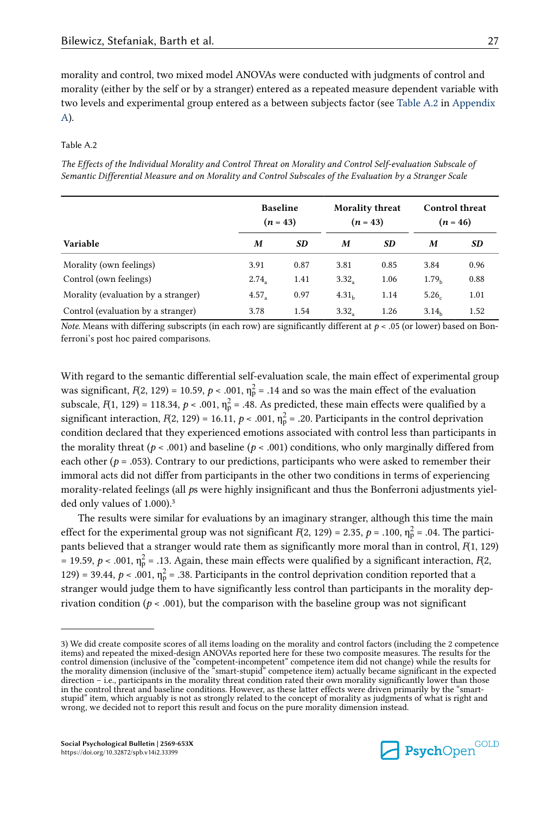morality and control, two mixed model ANOVAs were conducted with judgments of control and morality (either by the self or by a stranger) entered as a repeated measure dependent variable with two levels and experimental group entered as a between subjects factor (see Table A.2 in [Appendix](#page-22-0) [A](#page-22-0)).

#### Table A.2

The Effects of the Individual Morality and Control Threat on Morality and Control Self-evaluation Subscale of Semantic Differential Measure and on Morality and Control Subscales of the Evaluation by a Stranger Scale

|                                     | <b>Baseline</b><br>$(n = 43)$ |      | <b>Morality threat</b><br>$(n = 43)$ |      | <b>Control threat</b> | $(n = 46)$ |
|-------------------------------------|-------------------------------|------|--------------------------------------|------|-----------------------|------------|
| Variable                            | M                             | SD   | M                                    | SD   | M                     | <b>SD</b>  |
| Morality (own feelings)             | 3.91                          | 0.87 | 3.81                                 | 0.85 | 3.84                  | 0.96       |
| Control (own feelings)              | 2.74                          | 1.41 | 3.32 <sub>2</sub>                    | 1.06 | 1.79 <sub>b</sub>     | 0.88       |
| Morality (evaluation by a stranger) | 4.57.                         | 0.97 | 4.31 <sub>b</sub>                    | 1.14 | 5.26 <sub>c</sub>     | 1.01       |
| Control (evaluation by a stranger)  | 3.78                          | 1.54 | 3.32                                 | 1.26 | 3.14 <sub>b</sub>     | 1.52       |

Note. Means with differing subscripts (in each row) are significantly different at  $p < .05$  (or lower) based on Bonferroni's post hoc paired comparisons.

With regard to the semantic differential self-evaluation scale, the main effect of experimental group was significant,  $F(2, 129) = 10.59$ ,  $p < .001$ ,  $\eta_p^2 = .14$  and so was the main effect of the evaluation subscale,  $F(1, 129) = 118.34$ ,  $p < .001$ ,  $\eta_p^2 = .48$ . As predicted, these main effects were qualified by a significant interaction,  $F(2, 129) = 16.11$ ,  $p < .001$ ,  $\eta_p^2 = .20$ . Participants in the control deprivation condition declared that they experienced emotions associated with control less than participants in the morality threat ( $p < .001$ ) and baseline ( $p < .001$ ) conditions, who only marginally differed from each other ( $p = .053$ ). Contrary to our predictions, participants who were asked to remember their immoral acts did not differ from participants in the other two conditions in terms of experiencing morality-related feelings (all  $p$ s were highly insignificant and thus the Bonferroni adjustments yielded only values of 1.000).<sup>3</sup>

The results were similar for evaluations by an imaginary stranger, although this time the main effect for the experimental group was not significant  $F(2, 129) = 2.35$ ,  $p = .100$ ,  $\eta_p^2 = .04$ . The participants believed that a stranger would rate them as significantly more moral than in control,  $F(1, 129)$ = 19.59,  $p < .001$ ,  $\eta_p^2$  = .13. Again, these main effects were qualified by a significant interaction,  $F(2)$ , 129) = 39.44,  $p < .001$ ,  $\eta_p^2$  = .38. Participants in the control deprivation condition reported that a stranger would judge them to have significantly less control than participants in the morality deprivation condition ( $p < .001$ ), but the comparison with the baseline group was not significant



<sup>3)</sup> We did create composite scores of all items loading on the morality and control factors (including the 2 competence items) and repeated the mixed-design ANOVAs reported here for these two composite measures. The results for the control dimension (inclusive of the "competent-incompetent" competence item did not change) while the results for<br>the morality dimension (inclusive of the "smart-stupid" competence item) actually became significant in the in the control threat and baseline conditions. However, as these latter effects were driven primarily by the "smartstupid" item, which arguably is not as strongly related to the concept of morality as judgments of what is right and wrong, we decided not to report this result and focus on the pure morality dimension instead.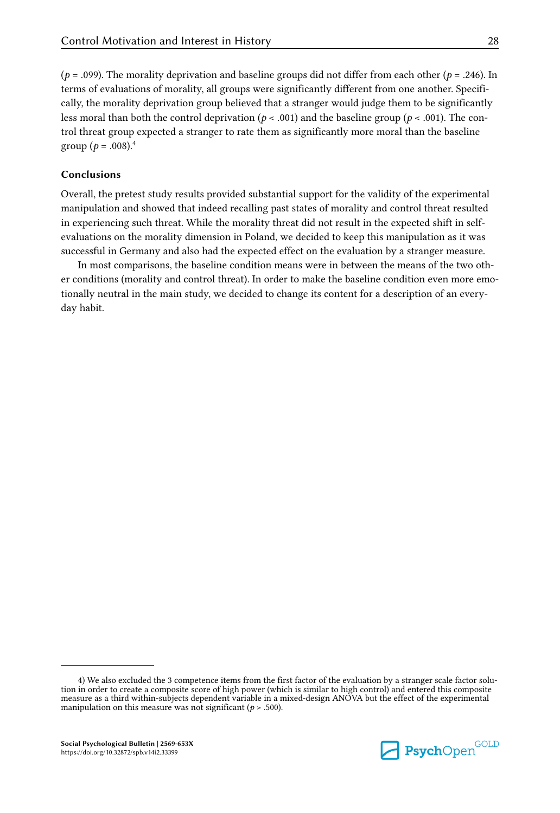( $p = .099$ ). The morality deprivation and baseline groups did not differ from each other ( $p = .246$ ). In terms of evaluations of morality, all groups were significantly different from one another. Specifically, the morality deprivation group believed that a stranger would judge them to be significantly less moral than both the control deprivation ( $p < .001$ ) and the baseline group ( $p < .001$ ). The control threat group expected a stranger to rate them as significantly more moral than the baseline group ( $p = .008$ ).<sup>4</sup>

## Conclusions

Overall, the pretest study results provided substantial support for the validity of the experimental manipulation and showed that indeed recalling past states of morality and control threat resulted in experiencing such threat. While the morality threat did not result in the expected shift in selfevaluations on the morality dimension in Poland, we decided to keep this manipulation as it was successful in Germany and also had the expected effect on the evaluation by a stranger measure.

In most comparisons, the baseline condition means were in between the means of the two other conditions (morality and control threat). In order to make the baseline condition even more emotionally neutral in the main study, we decided to change its content for a description of an every‐ day habit.

<sup>4)</sup> We also excluded the 3 competence items from the first factor of the evaluation by a stranger scale factor solution in order to create a composite score of high power (which is similar to high control) and entered this composite measure as a third within-subjects dependent variable in a mixed-design ANOVA but the effect of the experimental manipulation on this measure was not significant ( $p > .500$ ).

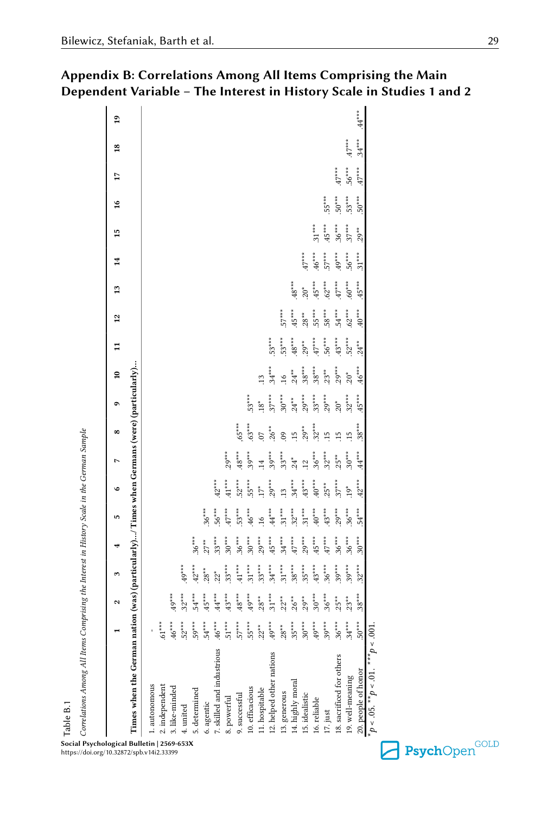| Table B.1                                                                                   |          |                      |          |          |                 |                     |                |                 |          |                |              |                 |            |          |          |               |          |                |                 |
|---------------------------------------------------------------------------------------------|----------|----------------------|----------|----------|-----------------|---------------------|----------------|-----------------|----------|----------------|--------------|-----------------|------------|----------|----------|---------------|----------|----------------|-----------------|
| Correlations Among All Items Comprising the Interest in History Scale in the German Sample  |          |                      |          |          |                 |                     |                |                 |          |                |              |                 |            |          |          |               |          |                |                 |
|                                                                                             |          | $\mathbf{\tilde{c}}$ | 3        |          | S               | ء                   |                | $\infty$        | ۰        | $\overline{a}$ | $\mathbf{1}$ | $\overline{12}$ | 13         | 14       | 15       | $\frac{6}{2}$ | 17       | $\frac{8}{10}$ | $\overline{19}$ |
| Times when the German nation (was) (particularly)/ Times when Germans (were) (particularly) |          |                      |          |          |                 |                     |                |                 |          |                |              |                 |            |          |          |               |          |                |                 |
| 1. autonomous                                                                               | ľ        |                      |          |          |                 |                     |                |                 |          |                |              |                 |            |          |          |               |          |                |                 |
|                                                                                             | $.61***$ |                      |          |          |                 |                     |                |                 |          |                |              |                 |            |          |          |               |          |                |                 |
| $2.\,\mathrm{independent}\\ 3.\,\mathrm{like\text{-}minded}$                                | $46***$  | $*^{**}$             |          |          |                 |                     |                |                 |          |                |              |                 |            |          |          |               |          |                |                 |
| 4. united                                                                                   | $52***$  | $32***$              | $.49***$ |          |                 |                     |                |                 |          |                |              |                 |            |          |          |               |          |                |                 |
| 5. determined                                                                               | $.59***$ | $-4**7$              | $.42***$ | $36***$  |                 |                     |                |                 |          |                |              |                 |            |          |          |               |          |                |                 |
| 6. agentic                                                                                  | $.54***$ | $45***$              | $28**$   | $27**$   | $36***$         |                     |                |                 |          |                |              |                 |            |          |          |               |          |                |                 |
| 7. skilled and industrious                                                                  | $46***$  | $44***$              | $.22*$   | $33***$  | $.56***$        | $42***$             |                |                 |          |                |              |                 |            |          |          |               |          |                |                 |
| 8. powerful                                                                                 | $-51***$ | $.43***$             | $33***$  | $30***$  | $47***$         | $41^{\ast\ast\ast}$ | $29***$        |                 |          |                |              |                 |            |          |          |               |          |                |                 |
| 9. successful                                                                               | $.57***$ | $48***$              | $41***$  | $36***$  | $53***$         | $52***$             | $48***$        | $65***$         |          |                |              |                 |            |          |          |               |          |                |                 |
|                                                                                             | $.55***$ | $49***$              | $31***$  | $30***$  | $46***$         | $55***$             | $39***$        | $.63***$        | $53***$  |                |              |                 |            |          |          |               |          |                |                 |
|                                                                                             | $22**$   | $28***$              | $33***$  | $.29***$ | $\overline{16}$ | $.17*$              | $\frac{4}{11}$ | $\overline{0}$  | $18*$    | $\frac{13}{2}$ |              |                 |            |          |          |               |          |                |                 |
| 10. efficacious<br>11. hospitable<br>12. helped other nations                               | $49***$  | $.31***$             | $34***$  | $.45***$ | $44***$         | $.29***$            | $39***$        | $.26**$         | $37***$  | $34***$        | $.53***$     |                 |            |          |          |               |          |                |                 |
|                                                                                             | $28***$  | $.22***$             | $31***$  | $34***$  | $31***$         | $\overline{13}$     | $33***$        | 60              | $.30***$ | 16             | $53***$      | $57***$         |            |          |          |               |          |                |                 |
| 13. generous<br>14. highly moral<br>15. idealistic                                          | $.35***$ | $.26***$             | $.38***$ | $47***$  | $32***$         | $34***$             | $.24*$         | $\frac{15}{2}$  | $24***$  | $24***$        | $.48***$     | $.45***$        | $48***$    |          |          |               |          |                |                 |
|                                                                                             | $.30***$ | $29***$              | $35***$  | $.29***$ | $31***$         | $.43***$            | $\frac{12}{1}$ | $29**$          | $.29***$ | $.38***$       | $29**$       | $28**$          | $20*$      | $47***$  |          |               |          |                |                 |
| 16. reliable                                                                                | $49***$  | $.30***$             | $43***$  | $45***$  | $40***$         | $40***$             | $.36***$       | $32***$         | $.33***$ | $.38***$       | $.47***$     | $55^{***}$      | $45***$    | $46***$  | $.31***$ |               |          |                |                 |
| $17.$ just                                                                                  | $.39***$ | $.36***$             | $36***$  | $47***$  | $43***$         | $25**$              | $.32***$       | $\overline{15}$ | $.29***$ | $23**$         | $.56***$     | $.58***$        | $.62***$   | $.57***$ | $45***$  | $.55***$      |          |                |                 |
| $18.\,\,sacrified\,\,for\,\,others\\ 19.\,\,well\hbox{-meaning}$                            | $.36***$ | $25***$              | $.39***$ | $36***$  | $.29***$        | $37***$             | $25**$         | .15             | $.20*$   | $.29***$       | $43***$      | $-4**7$         | $.47***$   | $49***$  | $.36***$ | $50***$       | $.47***$ |                |                 |
|                                                                                             | $.34***$ | $.23**$              | $.39***$ | $36***$  | $36***$         | $19*$               | $30***$        | $\ddot{15}$     | $32***$  | $20*$          | $.52***$     | $.62***$        | $00^{***}$ | $.56***$ | $37***$  | $.53***$      | $.56***$ | $.47***$       |                 |
| 20. people of honor                                                                         | $.50***$ | $.38***$             | $.32***$ | $.30***$ | $.54***$        | $.42***$            | $44^{***}$     | $.38***$        | $45***$  | $.46***$       | $.24***$     | $40***$         | $45***$    | $.31***$ | $.29**$  | $.50***$      | $.47***$ | $.34***$       | $44***$         |
| $\phi^* \phi < 0.05$ , $\phi^* \phi < 0.01$ , $\phi^* \phi < \phi^*$                        | .001     |                      |          |          |                 |                     |                |                 |          |                |              |                 |            |          |          |               |          |                |                 |

<span id="page-28-0"></span>Appendix B: Correlations Among All Items Comprising the Main Dependent Variable – The Interest in History Scale in Studies 1 and 2

Social Psychological Bulletin | 2569-653X https://doi.org/10.32872/spb.v14i2.33399

Table B.1

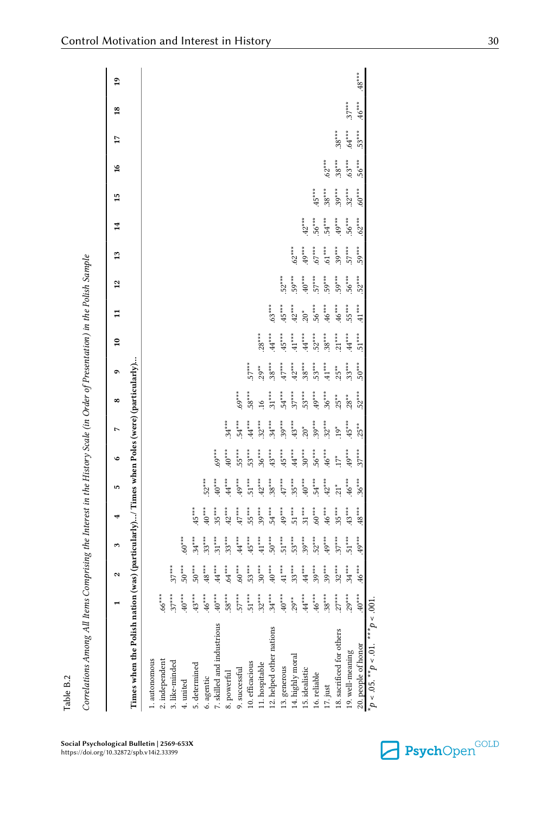<span id="page-29-0"></span>

|                                                                                           |                | $\sim$              | $\mathbf{c}$                  |                                                     | ın                                     | $\circ$                                  |                      | ∞        |                      | $\frac{10}{2}$       | $\frac{1}{11}$                | $\overline{12}$ | 13        | ។<br>ដ   | $\frac{15}{2}$ | $\frac{6}{2}$ | $\overline{1}$ | $\overline{18}$ | $\mathbf{a}$ |
|-------------------------------------------------------------------------------------------|----------------|---------------------|-------------------------------|-----------------------------------------------------|----------------------------------------|------------------------------------------|----------------------|----------|----------------------|----------------------|-------------------------------|-----------------|-----------|----------|----------------|---------------|----------------|-----------------|--------------|
| Times when the Polish nation (was) (particularly)/ Times when Poles (were) (particularly) |                |                     |                               |                                                     |                                        |                                          |                      |          |                      |                      |                               |                 |           |          |                |               |                |                 |              |
| 1. autonomous                                                                             |                |                     |                               |                                                     |                                        |                                          |                      |          |                      |                      |                               |                 |           |          |                |               |                |                 |              |
| 2. independent                                                                            | $.66***$       |                     |                               |                                                     |                                        |                                          |                      |          |                      |                      |                               |                 |           |          |                |               |                |                 |              |
| 3. like-minded                                                                            | $37***$        | $37***$             |                               |                                                     |                                        |                                          |                      |          |                      |                      |                               |                 |           |          |                |               |                |                 |              |
| 4. united                                                                                 | $***$ 0+       | $50***$             | $.60***$                      |                                                     |                                        |                                          |                      |          |                      |                      |                               |                 |           |          |                |               |                |                 |              |
| 5. determined                                                                             | $.43***$       | $50***$             | $.34***$                      | $45***$                                             |                                        |                                          |                      |          |                      |                      |                               |                 |           |          |                |               |                |                 |              |
| 6. agentic                                                                                | $46***$        | $.48***$            | $33***$                       | $40***$                                             | $52***$                                |                                          |                      |          |                      |                      |                               |                 |           |          |                |               |                |                 |              |
| 7. skilled and industrious                                                                | $*^{**}$       | $44***$             | $31***$                       | $35***$                                             | $40***$                                | $69***$                                  |                      |          |                      |                      |                               |                 |           |          |                |               |                |                 |              |
| 8. powerful                                                                               | $58***$        | $.64***$            | $.33***$                      | $.42***$                                            | $44***$                                | $40^{***}$                               | $34***$              |          |                      |                      |                               |                 |           |          |                |               |                |                 |              |
| 9. successful                                                                             | $57***$        | $**00$              | $.44***$                      | $\cdot$ ++ $\cdot$                                  | $49***$                                | $55***$                                  | $54***$              | $.69***$ |                      |                      |                               |                 |           |          |                |               |                |                 |              |
| $10.\,\mathrm{efficacious}\\ 11.\,\mathrm{hospitable}$                                    | $51***$        | $.53***$            | $.45***$                      | $.55***$                                            | $.51***$<br>$.42***$                   | $.53***$                                 | $^{***}$ +4 $^{***}$ | $58***$  | $57***$              |                      |                               |                 |           |          |                |               |                |                 |              |
|                                                                                           | $32***$        | $.30***$            | $.41***$                      | $.39***$                                            |                                        | $.36***$                                 | $.32***$             | $16$     | $29**$               | $.28***$             |                               |                 |           |          |                |               |                |                 |              |
| 12. helped other nations                                                                  | $.34***$       | $40***$             |                               | $.54***$<br>49***                                   | $.38***$                               | $.43***$                                 | $.34***$             | $.31***$ | $.38***$             | $44***$              | $.63***$                      |                 |           |          |                |               |                |                 |              |
| 13. generous                                                                              | $40***$        | $\cdot$ 41 $^{***}$ | $50***$<br>$51***$<br>$53***$ |                                                     | $47***$                                | $.45***$                                 | $.39***$             | $.54***$ | $47***$              | $45***$              | $.45***$                      | $52***$         |           |          |                |               |                |                 |              |
| 14. highly moral                                                                          | $.29***$       | $33***$             |                               | $51***$<br>$51***$<br>$60***$<br>$46***$<br>$35***$ | $.35***$                               | $44***$<br>$30***$<br>$56***$<br>$46***$ | $.43***$<br>.20*     | $.37***$ | $.42***$<br>$.38***$ | $\cdot$ 41 $\cdot$   | $.42***$<br>20*               | $59***$         | $.62***$  |          |                |               |                |                 |              |
| 15. idealistic                                                                            | $\cdot ^{***}$ | $.44***$            | $.39***$                      |                                                     |                                        |                                          |                      | $.53***$ |                      | $\cdot ^{44^{***}}$  |                               | $40***$         | $*^{**}9$ | $42***$  |                |               |                |                 |              |
| 16. reliable                                                                              | $.46***$       | $.39***$            | $52***$                       |                                                     |                                        |                                          | $.39***$             | $.49***$ | $.53***$             | $.52***$<br>$.38***$ | $.56***$                      | $.57***$        | $.67***$  | $56***$  | $.45***$       |               |                |                 |              |
| 17. just                                                                                  | $38***$        | $.39***$            | $.49***$                      |                                                     | $40***$<br>$54***$<br>$42***$<br>$21*$ |                                          | $.32***$             | $.36***$ | $-41***$             |                      |                               | $.59***$        | $.61***$  | $54***$  | $38***$        | $.62***$      |                |                 |              |
| 18. sacrificed for others                                                                 | $.27***$       | $32***$             | $.37***$                      |                                                     |                                        | $.17*$                                   | $.19*$               | $.25***$ | $.25***$             | $.21***$             | $46***$<br>$46***$<br>$55***$ | $.59***$        | $.39***$  | $.49***$ | $.39***$       | $38***$       | $.38***$       |                 |              |
| 19. well-meaning                                                                          | $.29***$       | $.34***$            | $-51***$                      | $.43***$                                            | $46***$                                | $.49***$                                 | $.45***$             | $28***$  | $.33***$             | $\cdot^{***}$        |                               | $.56***$        | $.57***$  | $.56***$ | $.32***$       | $.63***$      | $.64***$       | $.37***$        |              |
| 20. people of honor                                                                       | $x**$          | $46***$             | $49***$                       | $-48***$                                            | $.36***$                               | $37***$                                  | $25**$               | $.52***$ | $50***$              | $.51***$             | $41***$                       | $.52***$        | $.59***$  | $.62***$ | $.60***$       | $.56***$      | $.53***$       | $.46***$        | $.48***$     |
| $p < 0.05$ , ** $p < 0.01$ , *** $p < 0.01$ .                                             |                |                     |                               |                                                     |                                        |                                          |                      |          |                      |                      |                               |                 |           |          |                |               |                |                 |              |

Correlations Among All Items Comprising the Interest in the History Scale (in Order of Presentation) in the Polish Sample

Correlations Among All Items Comprising the Interest in the History Scale (in Order of Presentation) in the Polish Sample

Table B.2